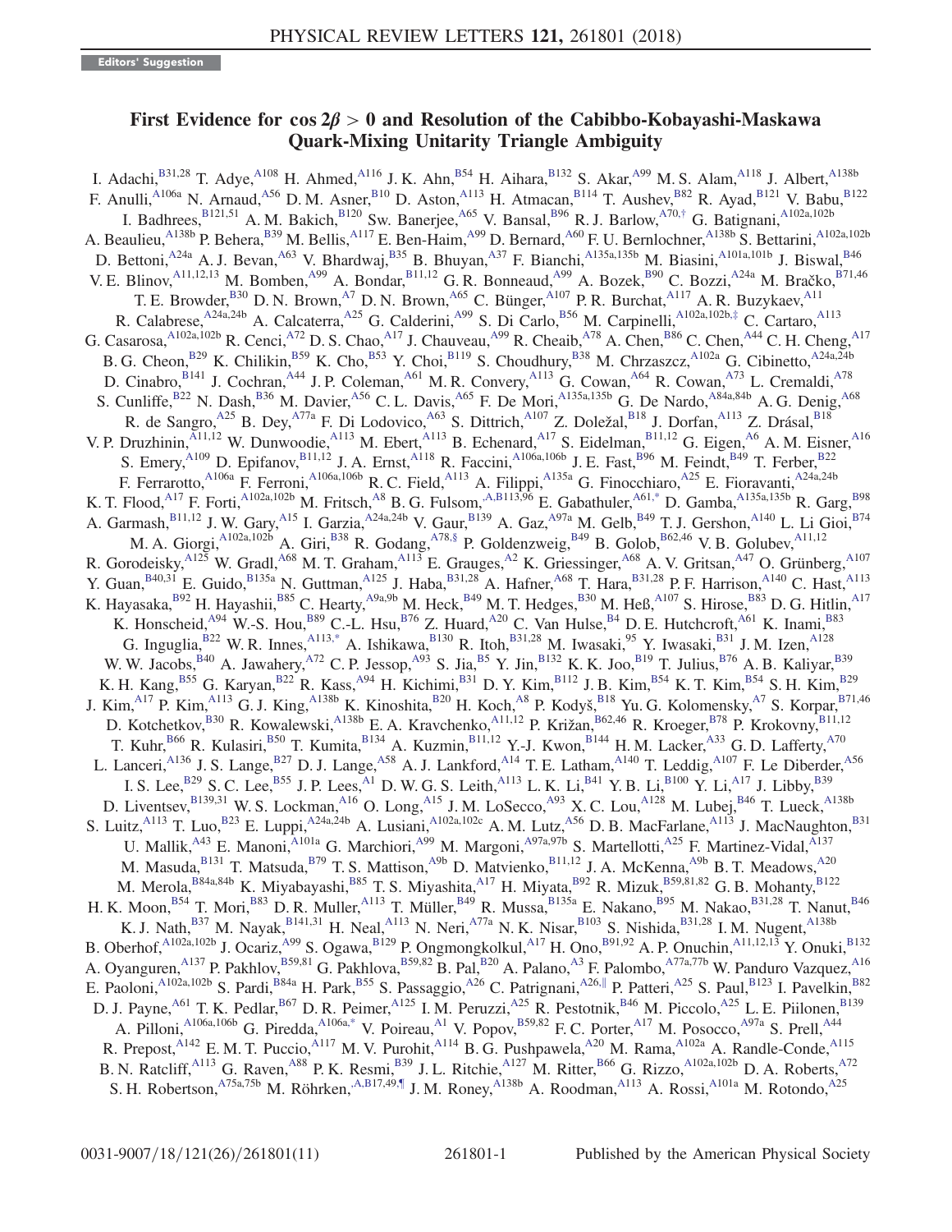## First Evidence for  $\cos 2\beta > 0$  and Resolution of the Cabibbo-Kobayashi-Maskawa Quark-Mixing Unitarity Triangle Ambiguity

<span id="page-0-5"></span><span id="page-0-4"></span><span id="page-0-3"></span><span id="page-0-2"></span><span id="page-0-1"></span><span id="page-0-0"></span>I. Adachi, $B^{31,28}$  T. Adye, $A^{108}$  H. Ahmed, $A^{116}$  J. K. Ahn, $B^{54}$  H. Aihara, $B^{132}$  S. Akar, $A^{99}$  M. S. Alam, $A^{118}$  J. Albert, $A^{138b}$ F. Anulli,<sup>A106a</sup> N. Arnaud,<sup>A56</sup> D. M. Asner,<sup>B10</sup> D. Aston,<sup>A113</sup> H. Atmacan,<sup>B114</sup> T. Aushev,<sup>B82</sup> R. Ayad,<sup>B121</sup> V. Babu,<sup>B122</sup> I. Badhrees, B121,51 A. M. Bakich, B120 Sw. Banerjee, A65 V. Bansal, B96 R. J. Barlow, A70,[†](#page-8-0) G. Batignani, A102a,102b A. Beaulieu,<sup>A138b</sup> P. Behera,<sup>B39</sup> M. Bellis,<sup>A117</sup> E. Ben-Haim,<sup>A99</sup> D. Bernard,<sup>A60</sup> F. U. Bernlochner,<sup>A138b</sup> S. Bettarini,<sup>A102a,102b</sup> D. Bettoni,<sup>A24a</sup> A. J. Bevan,<sup>A63</sup> V. Bhardwaj,<sup>B35</sup> B. Bhuyan,<sup>A37</sup> F. Bianchi,<sup>A135a,135b</sup> M. Biasini,<sup>A101a,101b</sup> J. Biswal,<sup>B46</sup> V. E. Blinov,<sup>A11,12,13</sup> M. Bomben,<sup>A99</sup> A. Bondar,<sup>B11,12</sup> G. R. Bonneaud,<sup>A99</sup> A. Bozek,<sup>B90</sup> C. Bozzi,<sup>A24a</sup> M. Bračko,<sup>B71,46</sup> T. E. Browder,  $B^{30}$  D. N. Brown,  $^{A7}$  D. N. Brown,  $^{A65}$  C. Bünger,  $^{A107}$  P. R. Burchat,  $^{A117}$  A. R. Buzykaev,  $^{A11}$ R. Calabrese,<sup>A24a,24b</sup> A. Calcaterra,<sup>A25</sup> G. Calderini,<sup>A99</sup> S. Di Carlo,<sup>B56</sup> M. Carpinelli,<sup>A102a,102b,[‡](#page-9-0)</sup> C. Cartaro,<sup>A113</sup> G. Casarosa, $A^{102a,102b}$  R. Cenci, $A^{72}$  D. S. Chao, $A^{17}$  J. Chauveau, $A^{99}$  R. Cheaib, $A^{78}$  A. Chen,  $B^{86}$  C. Chen,  $A^{44}$  C. H. Cheng,  $A^{17}$ B. G. Cheon, B29 K. Chilikin, B59 K. Cho, B53 Y. Choi, B119 S. Choudhury, B38 M. Chrzaszcz, A102a G. Cibinetto, A24a,24b D. Cinabro, B141 J. Cochran, A44 J. P. Coleman, A61 M. R. Convery, A113 G. Cowan, A64 R. Cowan, A73 L. Cremaldi, A78 S. Cunliffe, <sup>B22</sup> N. Dash, <sup>B36</sup> M. Davier, <sup>A56</sup> C. L. Davis, <sup>A65</sup> F. De Mori, <sup>A135a,135b</sup> G. De Nardo, <sup>A84a,84b</sup> A. G. Denig, <sup>A68</sup> R. de Sangro,<sup>A25</sup> B. Dey,<sup>A77a</sup> F. Di Lodovico,<sup>A63</sup> S. Dittrich,<sup>A107</sup> Z. Doležal,<sup>B18</sup> J. Dorfan,<sup>A113</sup> Z. Drásal,<sup>B18</sup> V. P. Druzhinin,<sup>A11,12</sup> W. Dunwoodie,<sup>A113</sup> M. Ebert,<sup>A113</sup> B. Echenard,<sup>A17</sup> S. Eidelman,<sup>B11,12</sup> G. Eigen,<sup>A6</sup> A. M. Eisner,<sup>A16</sup> S. Emery, <sup>A109</sup> D. Epifanov, <sup>B11,12</sup> J. A. Ernst, <sup>A118</sup> R. Faccini, <sup>A106a,106b</sup> J. E. Fast, <sup>B96</sup> M. Feindt, <sup>B49</sup> T. Ferber, <sup>B22</sup> F. Ferrarotto,<sup>A106a</sup> F. Ferroni,<sup>A106a,106b</sup> R. C. Field,<sup>A113</sup> A. Filippi,<sup>A135a</sup> G. Finocchiaro,<sup>A25</sup> E. Fioravanti,<sup>A24a,24b</sup> K. T. Flood,<sup>A17</sup> F. Forti,<sup>A102a,102b</sup> M. Fritsch,<sup>A8</sup> B. G. Fulsom,<sup>A,B113,96</sup> E. Gabathuler,<sup>A6[1,\\*](#page-8-1)</sup> D. Gamba,<sup>A135a,135b</sup> R. Garg,<sup>B98</sup> A. Garmash, <sup>B11,12</sup> J. W. Gary, <sup>A15</sup> I. Garzia, <sup>A24a,24b</sup> V. Gaur, <sup>B139</sup> A. Gaz, <sup>A97a</sup> M. Gelb, <sup>B49</sup> T. J. Gershon, <sup>A140</sup> L. Li Gioi, <sup>B74</sup> M. A. Giorgi, $A^{102a,102b}$  A. Giri, $B^{38}$  R. Godang, $A^{78,\S}$  P. Goldenzweig, $B^{49}$  B. Golob,  $B^{62,46}$  V. B. Golubev,  $A^{11,12}$ R. Gorodeisky,<sup>A125</sup> W. Gradl,<sup>A68</sup> M. T. Graham,<sup>A113</sup> E. Grauges,<sup>A2</sup> K. Griessinger,<sup>A68</sup> A. V. Gritsan,<sup>A47</sup> O. Grünberg,<sup>A107</sup> Y. Guan,  $B^{40,31}$  E. Guido,  $B^{135a}$  N. Guttman,  $A^{125}$  J. Haba,  $B^{31,28}$  A. Hafner,  $A^{68}$  T. Hara,  $B^{31,28}$  P. F. Harrison,  $A^{140}$  C. Hast,  $A^{113}$ K. Hayasaka, $^{B92}$  H. Hayashii, $^{B85}$  C. Hearty, $^{A9a,9b}$  M. Heck, $^{B49}$  M. T. Hedges, $^{B30}$  M. Heß, $^{A107}$  S. Hirose, $^{B83}$  D. G. Hitlin, $^{A17}$ K. Honscheid,<sup>A94</sup> W.-S. Hou,<sup>B89</sup> C.-L. Hsu,<sup>B76</sup> Z. Huard,<sup>A20</sup> C. Van Hulse,<sup>B4</sup> D. E. Hutchcroft,<sup>A61</sup> K. Inami,<sup>B83</sup> G. Inguglia,  $B22$  W. R. Innes,  $A113,*$  $A113,*$  A. Ishikawa,  $B130$  R. Itoh,  $B31,28$  M. Iwasaki,  $95$  Y. Iwasaki,  $B31$  J. M. Izen,  $A128$ W. W. Jacobs,  $B40$  A. Jawahery,  $A72$  C. P. Jessop,  $A93$  S. Jia,  $B5$  Y. Jin,  $B132$  K. K. Joo,  $B19$  T. Julius,  $B76$  A. B. Kaliyar,  $B39$ K. H. Kang, B55 G. Karyan, B22 R. Kass, A94 H. Kichimi, B31 D. Y. Kim, B112 J. B. Kim, B54 K. T. Kim, B54 S. H. Kim, B29 J. Kim,<sup>A17</sup> P. Kim,<sup>A113</sup> G. J. King,<sup>A138b</sup> K. Kinoshita,<sup>B20</sup> H. Koch,<sup>A8</sup> P. Kodyš,<sup>B18</sup> Yu. G. Kolomensky,<sup>A7</sup> S. Korpar,<sup>B71,46</sup> D. Kotchetkov,<sup>B30</sup> R. Kowalewski,<sup>A138b</sup> E. A. Kravchenko,<sup>A11,12</sup> P. Križan,<sup>B62,46</sup> R. Kroeger,<sup>B78</sup> P. Krokovny,<sup>B11,12</sup> T. Kuhr,<sup>B66</sup> R. Kulasiri,<sup>B50</sup> T. Kumita,<sup>B134</sup> A. Kuzmin,<sup>B11,12</sup> Y.-J. Kwon,<sup>B144</sup> H.M. Lacker,<sup>A33</sup> G.D. Lafferty,<sup>A70</sup> L. Lanceri,<sup>A136</sup> J. S. Lange,<sup>B27</sup> D. J. Lange,<sup>A58</sup> A. J. Lankford,<sup>A14</sup> T. E. Latham,<sup>A140</sup> T. Leddig,<sup>A107</sup> F. Le Diberder,<sup>A56</sup> I. S. Lee,  $^{B29}$  S. C. Lee,  $^{B55}$  J. P. Lees,  $^{A1}$  D. W. G. S. Leith,  $^{A113}$  L. K. Li,  $^{B41}$  Y. B. Li,  $^{B100}$  Y. Li,  $^{A17}$  J. Libby,  $^{B39}$ D. Liventsev, B139,31 W. S. Lockman, A16 O. Long, A15 J. M. LoSecco, A93 X. C. Lou, A128 M. Lubej, B46 T. Lueck, A138b S. Luitz, <sup>A113</sup> T. Luo, <sup>B23</sup> E. Luppi, <sup>A24a,24b</sup> A. Lusiani, <sup>A102a,102c</sup> A. M. Lutz, <sup>A56</sup> D. B. MacFarlane, <sup>A113</sup> J. MacNaughton, <sup>B31</sup> U. Mallik,<sup>A43</sup> E. Manoni,<sup>A101a</sup> G. Marchiori,<sup>A99</sup> M. Margoni,<sup>A97a,97b</sup> S. Martellotti,<sup>A25</sup> F. Martinez-Vidal,<sup>A137</sup> M. Masuda, B131 T. Matsuda, B79 T. S. Mattison, A9b D. Matvienko, B11,12 J. A. McKenna, A9b B. T. Meadows, A20 M. Merola, B84a,84b K. Miyabayashi, B85 T. S. Miyashita, A17 H. Miyata, B92 R. Mizuk, B59,81,82 G. B. Mohanty, B122 H. K. Moon,<sup>B54</sup> T. Mori,<sup>B83</sup> D. R. Muller,<sup>A113</sup> T. Müller,<sup>B49</sup> R. Mussa,<sup>B135a</sup> E. Nakano,<sup>B95</sup> M. Nakao,<sup>B31,28</sup> T. Nanut,<sup>B46</sup> K. J. Nath,  $B37$  M. Nayak,  $B141,31$  H. Neal,  $A113$  N. Neri,  $A77a$  N. K. Nisar,  $B103$  S. Nishida,  $B31,28$  I. M. Nugent,  $A138b$ B. Oberhof,<sup>A102a,102b</sup> J. Ocariz,<sup>A99</sup> S. Ogawa,<sup>B129</sup> P. Ongmongkolkul,<sup>A17</sup> H. Ono,<sup>B91,92</sup> A. P. Onuchin,<sup>A11,12,13</sup> Y. Onuki,<sup>B132</sup> A. Oyanguren, A137 P. Pakhlov,  $B_{59,81}$  G. Pakhlova,  $B_{59,82}$  B. Pal,  $B_{20}$  A. Palano,  $A_{3}$  F. Palombo,  $A_{77a,77b}$  W. Panduro Vazquez,  $A_{16}$ E. Paoloni,<sup>A102a,102b</sup> S. Pardi,<sup>B84a</sup> H. Park,<sup>B55</sup> S. Passaggio,<sup>A26</sup> C. Patrignani,<sup>A26,[∥](#page-9-2)</sup> P. Patteri,<sup>A25</sup> S. Paul,<sup>B123</sup> I. Pavelkin,<sup>B82</sup> D. J. Payne,<sup>A61</sup> T. K. Pedlar,<sup>B67</sup> D. R. Peimer,<sup>A125</sup> I. M. Peruzzi,<sup>A25</sup> R. Pestotnik,<sup>B46</sup> M. Piccolo,<sup>A25</sup> L. E. Piilonen,<sup>B139</sup> A. Pilloni,<sup>A106a,106b</sup> G. Piredda,<sup>A106a[,\\*](#page-8-1)</sup> V. Poireau,<sup>A1</sup> V. Popov,<sup>B59,82</sup> F.C. Porter,<sup>A17</sup> M. Posocco,<sup>A97a</sup> S. Prell,<sup>A44</sup> R. Prepost, <sup>A142</sup> E. M. T. Puccio, <sup>A117</sup> M. V. Purohit, <sup>A114</sup> B. G. Pushpawela, <sup>A20</sup> M. Rama, <sup>A102a</sup> A. Randle-Conde, <sup>A115</sup> B. N. Ratcliff,<sup>A113</sup> G. Raven,<sup>A88</sup> P. K. Resmi,<sup>B39</sup> J. L. Ritchie,<sup>A127</sup> M. Ritter,<sup>B66</sup> G. Rizzo,<sup>A102a,102b</sup> D. A. Roberts,<sup>A72</sup> S. H. Robertson, $A_{75a,75b}$  M. Röhrken, $A_{6}B_{17,49,}$  J. M. Roney, $A_{138b}$  A. Roodman, $A_{113}$  A. Rossi, $A_{101a}$  M. Rotondo, $A_{25}$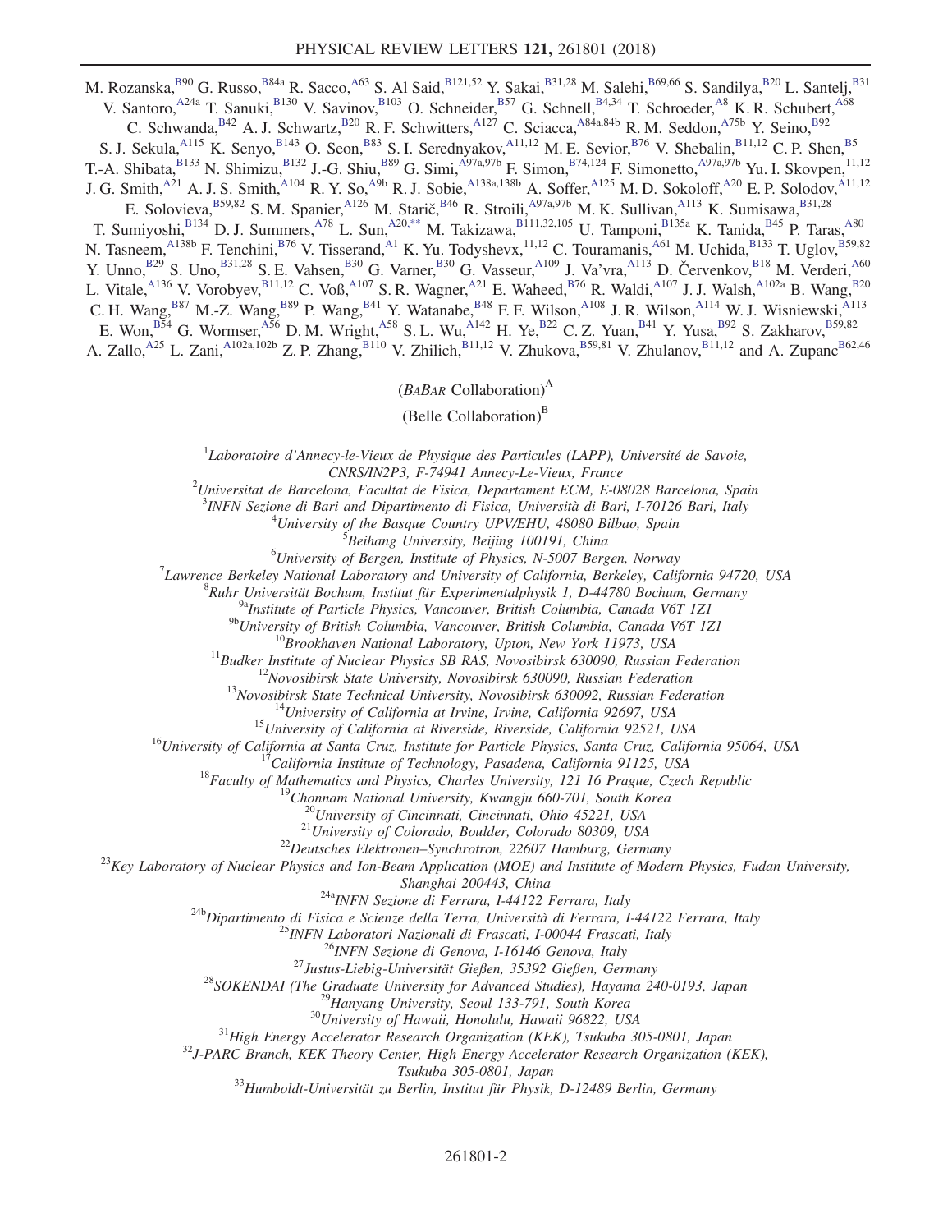M. Rozanska, $^{B90}$  G. Russo, $^{B84a}$  R. Sacco, $^{A63}$  S. Al Said, $^{B121,52}$  Y. Sakai, $^{B31,28}$  M. Salehi, $^{B69,66}$  S. Sandilya, $^{B20}$  L. Santelj, $^{B31}$ V. Santoro, <sup>A24a</sup> T. Sanuki, B130 V. Savinov, B103 O. Schneider, B57 G. Schnell, B4,34 T. Schroeder, A68 K. R. Schubert, A68 C. Schwanda, $B42$  A. J. Schwartz, $B20$  R. F. Schwitters, $A127$  C. Sciacca, $A84a,84b$  R. M. Seddon, $A75b$  Y. Seino, $B92$ S. J. Sekula, <sup>A115</sup> K. Senyo, <sup>B143</sup> O. Seon, <sup>B83</sup> S. I. Serednyakov, <sup>A11,12</sup> M. E. Sevior, <sup>B76</sup> V. Shebalin, <sup>B11,12</sup> C. P. Shen, <sup>B5</sup> T.-A. Shibata, $B^{133}$  N. Shimizu, $B^{132}$  J.-G. Shiu, $B^{89}$  G. Simi, $A^{97a,97b}$  F. Simon, $B^{74,124}$  F. Simonetto, $A^{97a,97b}$  Yu. I. Skovpen, $^{11,12}$ J. G. Smith, $^{A21}$  A. J. S. Smith, $^{A104}$  R. Y. So, $^{A9b}$  R. J. Sobie, $^{A138a,138b}$  A. Soffer, $^{A125}$  M. D. Sokoloff, $^{A20}$  E. P. Solodov, $^{A11,12}$ E. Solovieva, B59,82 S. M. Spanier, A126 M. Starič, B46 R. Stroili, A97a,97b M. K. Sullivan, A113 K. Sumisawa, B31,28 T. Sumiyoshi, B134 D. J. Summers, A78 L. Sun, A20[,\\*\\*](#page-9-4) M. Takizawa, B111,32,105 U. Tamponi, B135a K. Tanida, B45 P. Taras, A80 N. Tasneem,<sup>A138b</sup> F. Tenchini,<sup>B76</sup> V. Tisserand,<sup>A1</sup> K. Yu. Todyshevx,<sup>11,12</sup> C. Touramanis,<sup>A61</sup> M. Uchida,<sup>B133</sup> T. Uglov,<sup>B59,82</sup> Y. Unno, B<sub>29</sub> S. Uno, B<sub>31,28</sub> S. E. Vahsen, B<sub>30</sub> G. Varner, B<sub>30</sub> G. Vasseur, A<sub>109</sub> J. Va'vra, A<sub>113</sub> D. Červenkov, B<sub>18</sub> M. Verderi, <sup>A60</sup> L. Vitale,<sup>A136</sup> V. Vorobyev,<sup>B11,12</sup> C. Voß,<sup>A107</sup> S. R. Wagner,<sup>A21</sup> E. Waheed,<sup>B76</sup> R. Waldi,<sup>A107</sup> J. J. Walsh,<sup>A102a</sup> B. Wang,<sup>B20</sup> C. H. Wang,<sup>B87</sup> M.-Z. Wang,<sup>B89</sup> P. Wang,<sup>B41</sup> Y. Watanabe,<sup>B48</sup> F. F. Wilson,<sup>A108</sup> J. R. Wilson,<sup>A114</sup> W. J. Wisniewski,<sup>A113</sup> E. Won,  $B54$  G. Wormser,  $A56$  D. M. Wright,  $A58$  S. L. Wu,  $A142$  H. Ye,  $B22$  C. Z. Yuan,  $B41$  Y. Yusa,  $B92$  S. Zakharov,  $B59,82$ 

<span id="page-1-0"></span>A. Zallo,<sup>A25</sup> L. Zani,<sup>A102a,102b</sup> Z. P. Zhang,<sup>B110</sup> V. Zhilich,<sup>B11,12</sup> V. Zhukova,<sup>B59,81</sup> V. Zhulanov,<sup>B11,12</sup> and A. Zupanc<sup>B62,46</sup>

 $(BABAR\text{ Collaboration})^{\text{A}}$ 

(Belle Collaboration) $<sup>B</sup>$ </sup>

 ${}^{1}$ Laboratoire d'Annecy-le-Vieux de Physique des Particules (LAPP), Université de Savoie, CNRS/IN2P3, F-74941 Annecy-Le-Vieux, France <sup>2</sup>

 $^{2}$ Universitat de Barcelona, Facultat de Fisica, Departament ECM, E-08028 Barcelona, Spain

<sup>3</sup>INFN Sezione di Bari and Dipartimento di Fisica, Università di Bari, I-70126 Bari, Italy  $^{4}$ Ilniversity of the Bassue Country  $_{11}^{11}$   $_{12}^{11}$   $_{4}^{1}$   $_{4}^{10}$   $_{4}^{10}$   $_{4}^{10}$   $_{4}^{10}$   $_{4}^{10}$   $_{4}^{10}$ 

<sup>4</sup>University of the Basque Country UPV/EHU, 48080 Bilbao, Spain  $\frac{5}{2}$ Beihang University, Beijing 100191, China

 $B$ eihang University, Beijing 100191, China  $^{6}$ University of Person, Institute of Physics, N 5007 Person

 $^{6}$ University of Bergen, Institute of Physics, N-5007 Bergen, Norway<br><sup>7</sup>Laurence Berkeley National Laboratory and University of California, Berkeley, Cali

<sup>7</sup> Lawrence Berkeley National Laboratory and University of California, Berkeley, California 94720, USA  ${}^{8}$ Ruhr Universität Bochum, Institut für Experimentalphysik 1, D-44780 Bochum, Germany

<sup>9a</sup>Institute of Particle Physics, Vancouver, British Columbia, Canada V6T 1Z1<br><sup>9b</sup>University of British Columbia, Vancouver, British Columbia, Canada V6T 1Z1

<sup>96</sup>University of British Columbia, Vancouver, British Columbia, Canada V6T 1Z1<br>
<sup>19</sup>Brookhaven National Laboratory, Upton, New York 11973, USA<br>
<sup>11</sup>Budker Institute of Nuclear Physics SB RAS, Novosibirsk 630090, Russian

 $\begin{array}{c} \textit{Shanghai 200443, China}\\ 24\text{b} \textit{Dipartimento di Fisica e Science della Terrara, I-44122 Ferrara, Italy}\\ 24\text{b} \textit{Dipartimento di Fisica e Science della Terrra, Università di Ferrara, I-44122 Ferrara, Italy}\\ 25 \textit{INFN Laboratories de Gienze della Terrra, Università di Ferrara, I-44122 Ferrara, Italy}\\ 26 \textit{INFN Sezione di Genova, I-16146 Genova, Italy}\\ 27 \textit{Justus-Liebig-Universität Gießen, 35392 Gießen, Germany}\\ 28 \textit{SOKENDAI (The Graduate University for Advanced Studies),$ 

Tsukuba 305-0801, Japan<br><sup>33</sup>Humboldt-Universität zu Berlin, Institut für Physik, D-12489 Berlin, Germany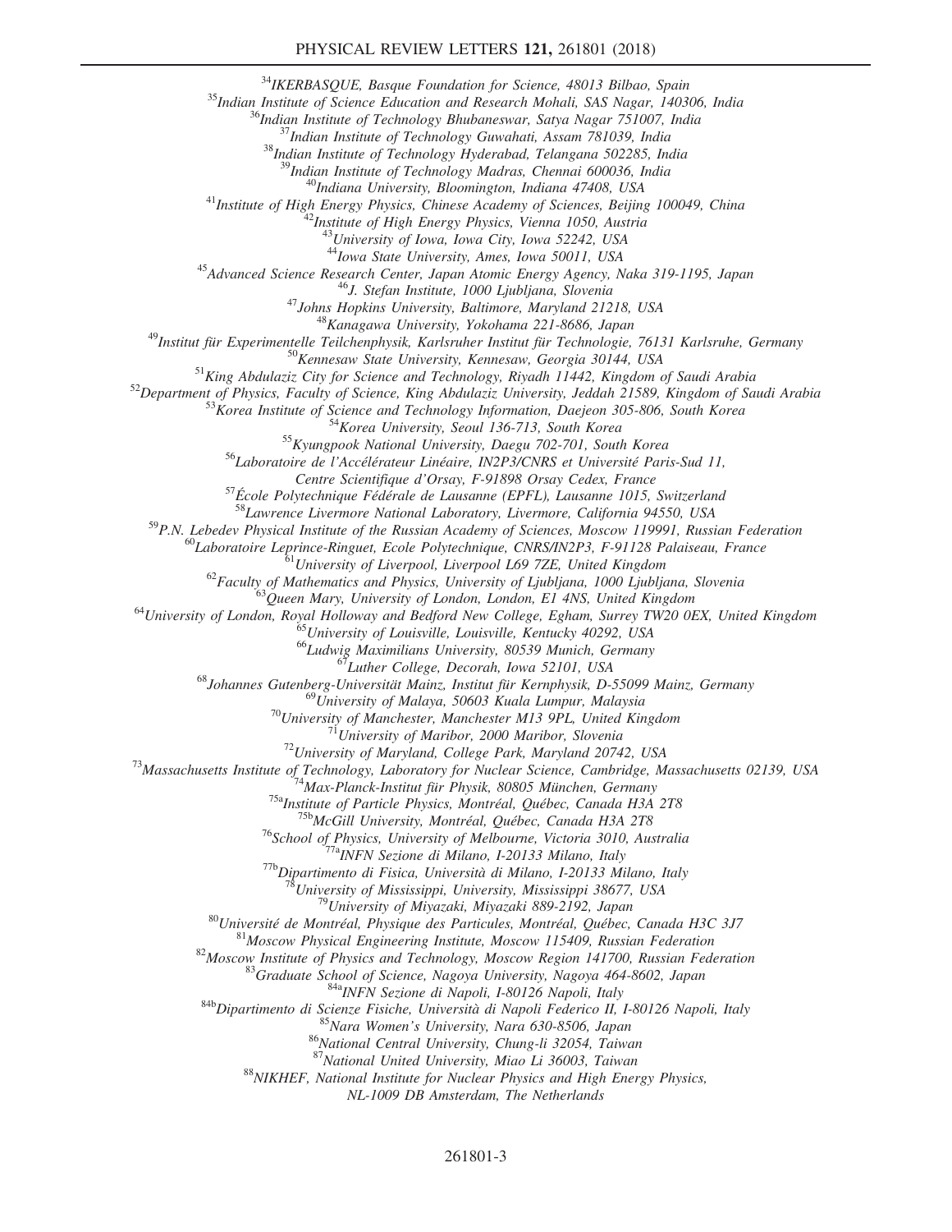<sup>35</sup>Indian Institute of Science Education and Research Mohali, SAS Nagar, 140306, Indian <sup>36</sup>Indian Institute of Science Education and Research Mohali, SAS Nagar, 140306, India<br><sup>36</sup>Indian Institute of Technology Bhubanesw

<sup>40</sup>Indiana University, Bloomington, Indiana 47408, USA<br><sup>41</sup>Institute of High Energy Physics, Chinese Academy of Sciences, Beijing 100049, China<br><sup>42</sup>Institute of High Energy Physics, Vienna 1050, Austria

 $^{43}$ University of Iowa, Iowa City, Iowa 52242, USA  $^{44}$ Iowa State University, Ames, Iowa 50011, USA

<sup>44</sup>Iowa State University, Ames, Iowa 50011, USA<br><sup>45</sup>Advanced Science Research Center, Japan Atomic Energy Agency, Naka 319-1195, Japan<br><sup>46</sup>J. Stefan Institute, 1000 Ljubljana, Slovenia<br><sup>47</sup>Johns Hopkins University, Balti

Centre Scientifique d'Orsay, F-91898 Orsay Cedex, France<br><sup>57</sup>École Polytechnique Fédérale de Lausanne (EPFL), Lausanne 1015, Switzerland<br><sup>58</sup>Lawrence Livermore National Laboratory, Livermore, California 94550, USA

<sup>59</sup>P.N. Lebedev Physical Institute of the Russian Academy of Sciences, Moscow 119991, Russian Federation<br><sup>60</sup>Laboratoire Leprince-Ringuet, Ecole Polytechnique, CNRS/IN2P3, F-91128 Palaiseau, France<br><sup>61</sup>University of Live

<sup>67</sup>Luther College, Decorah, Iowa 52101, USA<br><sup>68</sup>Johannes Gutenberg-Universität Mainz, Institut für Kernphysik, D-55099 Mainz, Germany<br><sup>69</sup>University of Malaya, 50603 Kuala Lumpur, Malaysia

 $\begin{array}{c} \text{^{70}University of Manchester, Manchester, Manchester M13 9PL, United Kingdom}\\ \text{^{71}University of Mathematics, 1000 Mathor, 1000 Mathor, 1000 Maribor, 1000 Maribor, 10010 Marior, 1012, 103A\\ \text{^{73}Massachusetts Institute of Technology, Laboratory for Nuclear Science, Cambridge, Massachusetts 02139, USA}\\ \text{^{74}Max.Planck-Institut fit Physics, 1014, 0805 Münche, Germany}\\ \text{^{75}Max-Planck-Institut fit Physics, 1014, 0406, 05 Münche, Germany\\ \text{^{75}McGill University, Montreal, Québec, Canada$ 

<sup>88</sup>NIKHEF, National Institute for Nuclear Physics and High Energy Physics,

NL-1009 DB Amsterdam, The Netherlands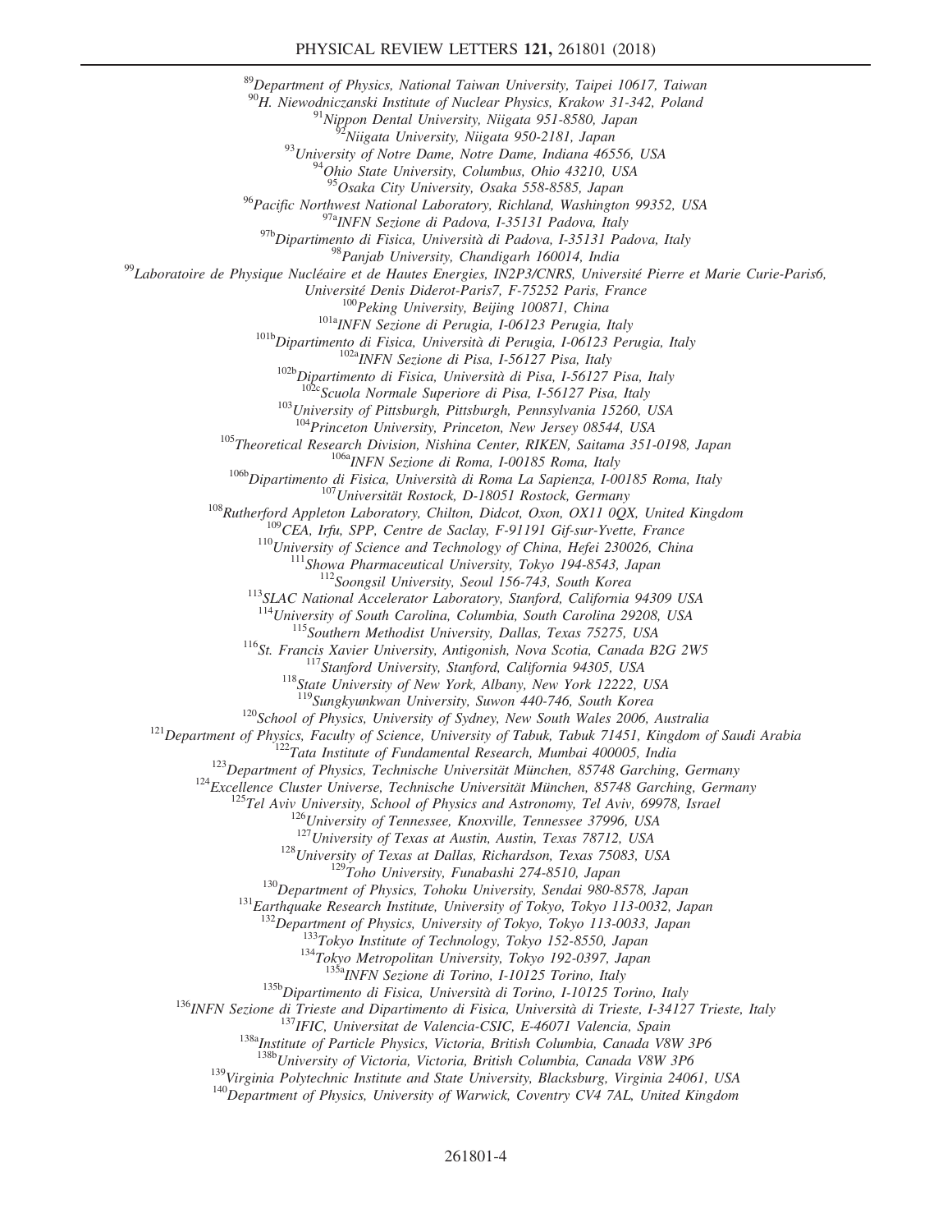<sup>89</sup>Department of Physics, National Taiwan University, Taipei 10617, Taiwan <sup>90</sup>H. Niewodniczanski Institute of Nuclear Physics, Krakow 31-342, Poland<br><sup>91</sup>Nippon Dental University, Niigata 951-8580, Japan<br><sup>92</sup>Niigata University, Niigata 950-2181, Japan<br><sup>93</sup>University of Notre Dame, Notre Dame, In <sup>95</sup>Osaka City University, Osaka 558-8585, Japan <sup>96</sup>Pacific Northwest National Laboratory, Richland, Washington 99352, USA<br><sup>97a</sup>INFN Sezione di Padova, I-35131 Padova, Italy<br><sup>97b</sup>Dipartimento di Fisica, Università di Padova, I-35131 Padova, Italy <sup>98</sup> Panjab University, Chandigarh 160014, India<br><sup>99</sup> Laboratoire de Physique Nucléaire et de Hautes Energies, IN2P3/CNRS, Université Pierre et Marie Curie-Paris6, Université Denis Diderot-Paris7, F-75252 Paris, France<br>
<sup>100</sup>Peking University, Beijing 100871, China<br>
<sup>1018</sup>INFN Sezione di Perugia, 1-06123 Perugia, Italy<br>
<sup>101b</sup>Dipartimento di Fisica, Università di Perugia, 1-06123 Pe <sup>104</sup>Princeton University, Princeton, New Jersey 08544, USA <sup>105</sup>Theoretical Research Division, Nishina Center, RIKEN, Saitama 351-0198, Japan 106aINFN Sezione di Roma, I-00185 Roma, Italy 106bDipartimento di Fisica, Universit `a di Roma La Sapienza, I-00185 Roma, Italy <sup>107</sup>Universität Rostock, D-18051 Rostock, Germany <sup>108</sup>Rutherford Appleton Laboratory, Chilton, Didcot, Oxon, OX11 0QX, United Kingdom <sup>109</sup>CEA, Irfu, SPP, Centre de Saclay, F-91191 Gif-sur-Yvette, France <sup>110</sup>University of Science and Technology of China, Hefei 230026, China <sup>111</sup>Showa Pharmaceutical University, Tokyo 194-8543, Japan <sup>112</sup>Soongsil University, Seoul 156-743, South Korea <sup>113</sup>SLAC National Accelerator Laboratory, Stanford, California 94309 USA <sup>115</sup>Southern Methodist University, Dallas, Texas 75275, USA<br><sup>116</sup>St. Francis Xavier University, Antigonish, Nova Scotia, Canada B2G 2W5<br><sup>117</sup>Stanford University, Stanford, California 94305, USA<br><sup>118</sup>State University of N <sup>120</sup>School of Physics, University of Sydney, New South Wales 2006, Australia<br><sup>121</sup>Department of Physics, Faculty of Science, University of Tabuk, Tabuk 71451, Kingdom of Saudi Arabia<br><sup>122</sup>Tata Institute of Fundamental Re <sup>128</sup>University of Texas at Dallas, Richardson, Texas 75083, USA<br><sup>129</sup>Toho University, Funabashi 274-8510, Japan<br><sup>130</sup>Department of Physics, Tohoku University, Sendai 980-8578, Japan<br><sup>131</sup>Earthquake Research Institute, Un <sup>132</sup>Department of Physics, University of Tokyo, Tokyo 113-0033, Japan<br><sup>133</sup>Tokyo Institute of Technology, Tokyo 152-8550, Japan<br><sup>134</sup>Tokyo Metropolitan University, Tokyo 192-0397, Japan<br><sup>135a</sup>INFN Sezione di Torino, I-10 <sup>136</sup> INFN Sezione di Trieste and Dipartimento di Fisica, Università di Torino, I-10125 Torino, Italy<br><sup>136</sup> INFN Sezione di Trieste and Dipartimento di Fisica, Università di Trieste, I-34127 Trieste, Italy<br><sup>137</sup> IFIC, Uni <sup>139</sup>Virginia Polytechnic Institute and State University, Blacksburg, Virginia 24061, USA<br><sup>140</sup>Department of Physics, University of Warwick, Coventry CV4 7AL, United Kingdom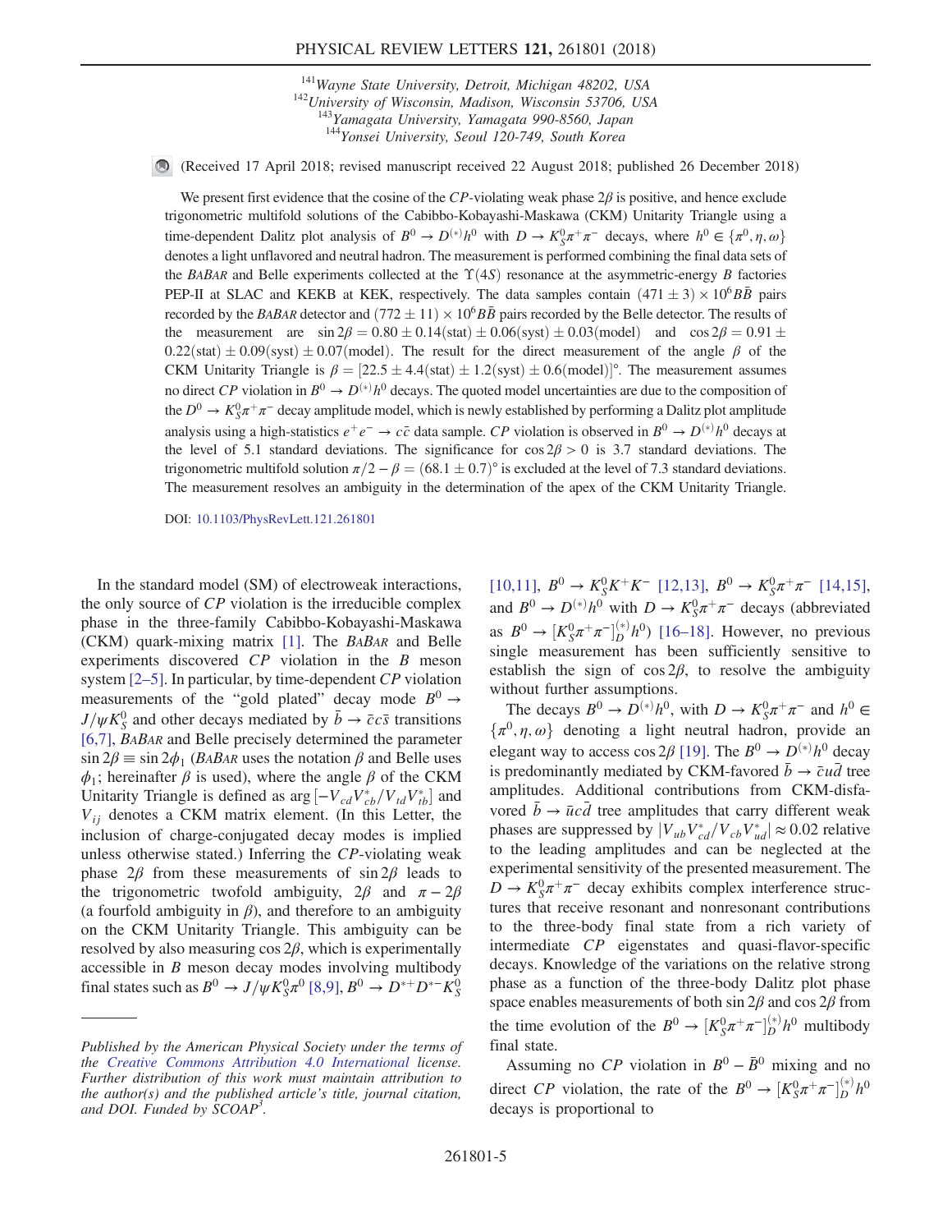$141$ Wayne State University, Detroit, Michigan 48202, USA  $142$ University of Wisconsin, Madison, Wisconsin 53706, USA <sup>143</sup>Yamagata University, Yamagata 990-8560, Japan <sup>144</sup>Yonsei University, Seoul 120-749, South Korea

(Received 17 April 2018; revised manuscript received 22 August 2018; published 26 December 2018)

We present first evidence that the cosine of the CP-violating weak phase  $2\beta$  is positive, and hence exclude trigonometric multifold solutions of the Cabibbo-Kobayashi-Maskawa (CKM) Unitarity Triangle using a time-dependent Dalitz plot analysis of  $B^0 \to D^{(*)}h^0$  with  $D \to K_9^0 \pi^+ \pi^-$  decays, where  $h^0 \in {\pi^0, \eta, \omega}$ <br>denotes a light unflavored and neutral hodron. The measurement is negformed combining the final data sets of denotes a light unflavored and neutral hadron. The measurement is performed combining the final data sets of the BABAR and Belle experiments collected at the  $\Upsilon(4S)$  resonance at the asymmetric-energy B factories PEP-II at SLAC and KEKB at KEK, respectively. The data samples contain  $(471 \pm 3) \times 10^6 B\overline{B}$  pairs recorded by the BABAR detector and  $(772 \pm 11) \times 10^6 B\bar{B}$  pairs recorded by the Belle detector. The results of the measurement are  $\sin 2\beta = 0.80 \pm 0.14$ (stat)  $\pm 0.06$ (syst)  $\pm 0.03$ (model) and cos  $2\beta = 0.91 \pm 0.03$  $0.22$ (stat)  $\pm 0.09$ (syst)  $\pm 0.07$ (model). The result for the direct measurement of the angle  $\beta$  of the CKM Unitarity Triangle is  $\beta = [22.5 \pm 4.4 \text{(stat)} \pm 1.2 \text{(syst)} \pm 0.6 \text{(model)}]^\circ$ . The measurement assumes no direct CP violation in  $B^0 \to D^{(*)}h^0$  decays. The quoted model uncertainties are due to the composition of the  $D^0 \to K_S^0 \pi^+ \pi^-$  decay amplitude model, which is newly established by performing a Dalitz plot amplitude analysis using a high-statistics  $e^+e^- \to c\bar{c}$  data sample. CP violation is observed in  $B^0 \to D^{(*)}h^0$  decays at the level of 5.1 standard deviations. The significance for  $\cos 2\beta > 0$  is 3.7 standard deviations. The trigonometric multifold solution  $\pi/2 - \beta = (68.1 \pm 0.7)^\circ$  is excluded at the level of 7.3 standard deviations. The measurement resolves an ambiguity in the determination of the apex of the CKM Unitarity Triangle.

DOI: [10.1103/PhysRevLett.121.261801](https://doi.org/10.1103/PhysRevLett.121.261801)

In the standard model (SM) of electroweak interactions, the only source of CP violation is the irreducible complex phase in the three-family Cabibbo-Kobayashi-Maskawa (CKM) quark-mixing matrix [\[1\].](#page-9-5) The BABAR and Belle experiments discovered CP violation in the B meson system  $[2-5]$  $[2-5]$ . In particular, by time-dependent  $CP$  violation measurements of the "gold plated" decay mode  $B^0 \rightarrow$  $J/\psi K_S^0$  and other decays mediated by  $\bar{b} \to \bar{c} c \bar{s}$  transitions [\[6,7\],](#page-9-7) BABAR and Belle precisely determined the parameter  $\sin 2\beta \equiv \sin 2\phi_1$  (*BABAR* uses the notation  $\beta$  and Belle uses  $\phi_1$ ; hereinafter  $\beta$  is used), where the angle  $\beta$  of the CKM Unitarity Triangle is defined as  $\arg \left[-V_{cd}V_{cb}^*/V_{td}V_{tb}^*\right]$  and  $V_{cs}$  denotes a CKM matrix element. (In this Letter, the  $V_{ij}$  denotes a CKM matrix element. (In this Letter, the inclusion of charge-conjugated decay modes is implied unless otherwise stated.) Inferring the CP-violating weak phase  $2\beta$  from these measurements of sin  $2\beta$  leads to the trigonometric twofold ambiguity,  $2\beta$  and  $\pi - 2\beta$ (a fourfold ambiguity in  $\beta$ ), and therefore to an ambiguity on the CKM Unitarity Triangle. This ambiguity can be resolved by also measuring  $\cos 2\beta$ , which is experimentally accessible in B meson decay modes involving multibody final states such as  $B^0 \to J/\psi K^0_S \pi^0$  [\[8,9\]](#page-9-8),  $B^0 \to D^{*+} D^{*-} K^0_S$ 

 $[10,11]$ ,  $B^0 \to K_S^0 K^+ K^-$  [\[12,13\],](#page-9-10)  $B^0 \to K_S^0 \pi^+ \pi^-$  [\[14,15\]](#page-9-11), and  $B^0 \to D^{(*)}h^0$  with  $D \to K_S^0 \pi^+ \pi^-$  decays (abbreviated as  $B^0 \to [K_S^0 \pi^+ \pi^-]_D^{(*)} h^0$  [16–[18\].](#page-9-12) However, no previous single measurement has been sufficiently sensitive to single measurement has been sufficiently sensitive to establish the sign of  $\cos 2\beta$ , to resolve the ambiguity without further assumptions.

The decays  $B^0 \to D^{(*)}h^0$ , with  $D \to K_S^0 \pi^+ \pi^-$  and  $h^0 \in$  $\{\pi^0, \eta, \omega\}$  denoting a light neutral hadron, provide an elegant way to access cos 2 $\beta$  [\[19\]](#page-9-13). The  $B^0 \to D^{(*)}h^0$  decay is predominantly mediated by CKM-favored  $\bar{b} \rightarrow \bar{c} u \bar{d}$  tree amplitudes. Additional contributions from CKM-disfavored  $\bar{b} \rightarrow \bar{u}c\bar{d}$  tree amplitudes that carry different weak phases are suppressed by  $|V_{ub}V_{cd}^*/V_{cb}V_{ud}^*| \approx 0.02$  relative<br>to the leading amplitudes and can be neglected at the to the leading amplitudes and can be neglected at the experimental sensitivity of the presented measurement. The  $D \to K_S^0 \pi^+ \pi^-$  decay exhibits complex interference structures that receive resonant and nonresonant contributions to the three-body final state from a rich variety of intermediate CP eigenstates and quasi-flavor-specific decays. Knowledge of the variations on the relative strong phase as a function of the three-body Dalitz plot phase space enables measurements of both sin  $2\beta$  and cos  $2\beta$  from the time evolution of the  $B^0 \to [K_S^0 \pi^+ \pi^-]_D^{(*)} h^0$  multibody final state final state.

<span id="page-4-0"></span>Assuming no  $\mathbb{CP}$  violation in  $B^0 - \bar{B}^0$  mixing and no direct CP violation, the rate of the  $B^0 \to [K_S^0 \pi^+ \pi^-]_D^{(*)} h^0$ decays is proportional to

Published by the American Physical Society under the terms of the [Creative Commons Attribution 4.0 International](https://creativecommons.org/licenses/by/4.0/) license. Further distribution of this work must maintain attribution to the author(s) and the published article's title, journal citation, and DOI. Funded by SCOAP<sup>3</sup>.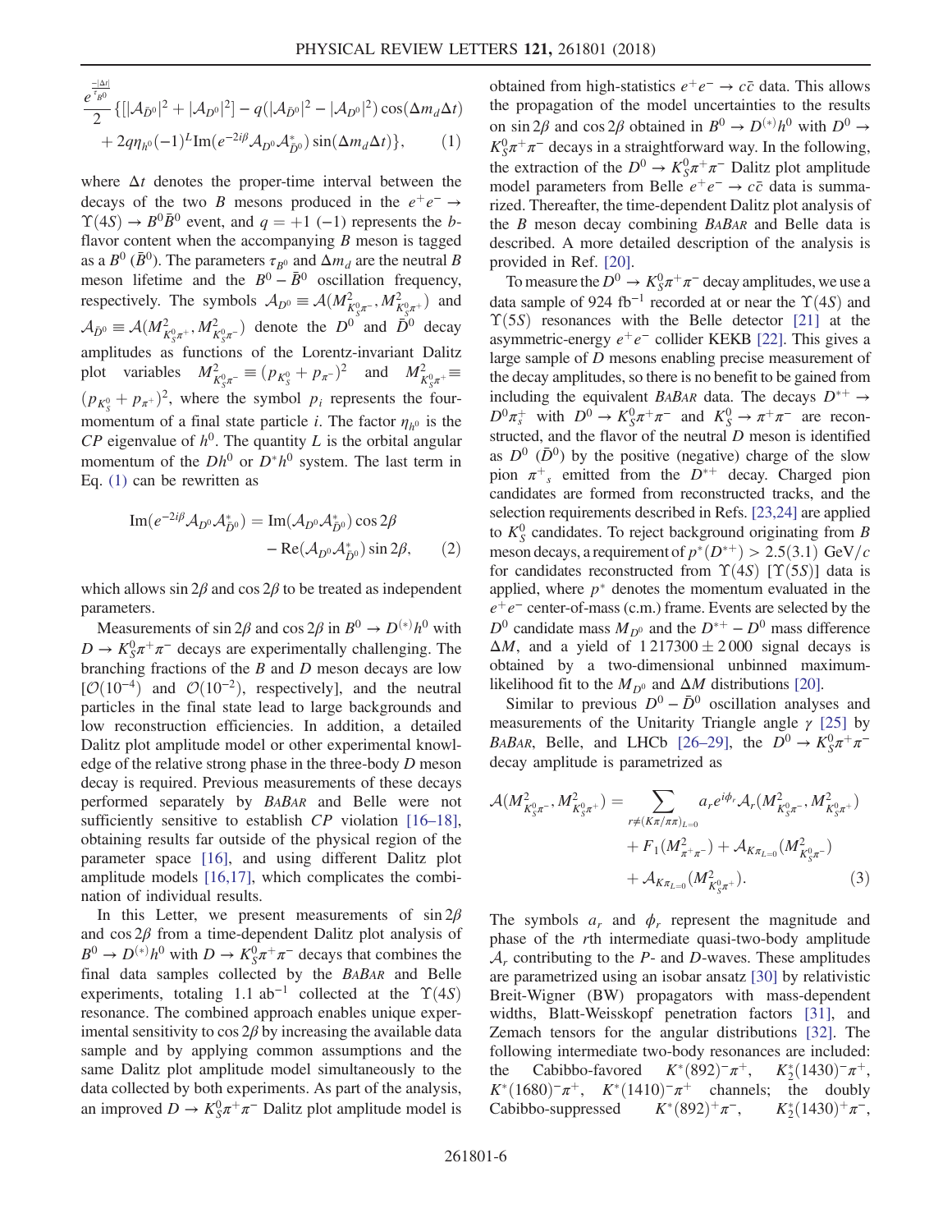$$
\frac{e^{\frac{-|\Delta t|}{t_{B^0}}}}{2} \{ [|\mathcal{A}_{\bar{D}^0}|^2 + |\mathcal{A}_{D^0}|^2] - q(|\mathcal{A}_{\bar{D}^0}|^2 - |\mathcal{A}_{D^0}|^2) \cos(\Delta m_d \Delta t) + 2q\eta_{h^0}(-1)^L \text{Im}(e^{-2i\beta} \mathcal{A}_{D^0} \mathcal{A}_{\bar{D}^0}^*) \sin(\Delta m_d \Delta t) \}, \qquad (1)
$$

where  $\Delta t$  denotes the proper-time interval between the decays of the two B mesons produced in the  $e^+e^- \rightarrow$  $\Upsilon(4S) \rightarrow B^0 \bar{B}^0$  event, and  $q = +1$  (-1) represents the bflavor content when the accompanying  $B$  meson is tagged as a  $B^0$  ( $\bar{B}^0$ ). The parameters  $\tau_{B^0}$  and  $\Delta m_d$  are the neutral B meson lifetime and the  $B^0 - \bar{B}^0$  oscillation frequency, respectively. The symbols  $A_{D^0} \equiv \mathcal{A}(M_{K_S^0\pi^-}^2, M_{K_S^0\pi^+}^2)$  and  $A_{\bar{D}^0} \equiv \mathcal{A}(M_{K_5^0\pi^+}^2, M_{K_5^0\pi^-}^2)$  denote the  $D^0$  and  $\bar{D}^0$  decay amplitudes as functions of the Lorentz-invariant Dalitz plot variables  $M_{K^0_S \pi^-}^2 \equiv (p_{K^0_S} + p_{\pi^-})^2$  and  $M_{K^0_S \pi^+}^2 \equiv$  $(p_{K_5^0} + p_{\pi^+})^2$ , where the symbol  $p_i$  represents the four-<br>measurements of a final state partials in The fortunance is the momentum of a final state particle *i*. The factor  $\eta_{h^0}$  is the  $\mathbb{C}P$  eigenvalue of  $h^0$ . The quantity L is the orbital angular momentum of the  $Dh^0$  or  $D^*h^0$  system. The last term in Eq. [\(1\)](#page-4-0) can be rewritten as

<span id="page-5-1"></span>
$$
\text{Im}(e^{-2i\beta}\mathcal{A}_{D^0}\mathcal{A}_{\bar{D}^0}^*) = \text{Im}(\mathcal{A}_{D^0}\mathcal{A}_{\bar{D}^0}^*)\cos 2\beta \n- \text{Re}(\mathcal{A}_{D^0}\mathcal{A}_{\bar{D}^0}^*)\sin 2\beta,
$$
\n(2)

which allows  $\sin 2\beta$  and  $\cos 2\beta$  to be treated as independent parameters.

Measurements of sin 2 $\beta$  and cos 2 $\beta$  in  $B^0 \to D^{(*)}h^0$  with  $D \to K_S^0 \pi^+ \pi^-$  decays are experimentally challenging. The branching fractions of the  $B$  and  $D$  meson decays are low  $[O(10^{-4})$  and  $O(10^{-2})$ , respectively], and the neutral particles in the final state lead to large backgrounds and low reconstruction efficiencies. In addition, a detailed Dalitz plot amplitude model or other experimental knowledge of the relative strong phase in the three-body D meson decay is required. Previous measurements of these decays performed separately by BABAR and Belle were not sufficiently sensitive to establish CP violation [\[16](#page-9-12)–18], obtaining results far outside of the physical region of the parameter space [\[16\],](#page-9-12) and using different Dalitz plot amplitude models [\[16,17\],](#page-9-12) which complicates the combination of individual results.

In this Letter, we present measurements of  $\sin 2\beta$ and  $\cos 2\beta$  from a time-dependent Dalitz plot analysis of  $B^0 \to D^{(*)}h^0$  with  $D \to K_S^0\pi^+\pi^-$  decays that combines the final data samples collected by the BABAR and Belle experiments, totaling 1.1 ab<sup>-1</sup> collected at the  $\Upsilon(4S)$ resonance. The combined approach enables unique experimental sensitivity to cos  $2\beta$  by increasing the available data sample and by applying common assumptions and the same Dalitz plot amplitude model simultaneously to the data collected by both experiments. As part of the analysis, an improved  $D \to K_S^0 \pi^+ \pi^-$  Dalitz plot amplitude model is obtained from high-statistics  $e^+e^- \rightarrow c\bar{c}$  data. This allows the propagation of the model uncertainties to the results on sin 2 $\beta$  and cos 2 $\beta$  obtained in  $B^0 \to D^{(*)}h^0$  with  $D^0 \to$  $K_S^0 \pi^+ \pi^-$  decays in a straightforward way. In the following, the extraction of the  $D^0 \to K_S^0 \pi^+ \pi^-$  Dalitz plot amplitude model parameters from Belle  $e^+e^- \rightarrow c\bar{c}$  data is summarized. Thereafter, the time-dependent Dalitz plot analysis of the B meson decay combining BABAR and Belle data is described. A more detailed description of the analysis is provided in Ref. [\[20\].](#page-9-14)

To measure the  $D^0 \to K_S^0 \pi^+ \pi^-$  decay amplitudes, we use a data sample of 924 fb<sup>-1</sup> recorded at or near the  $\Upsilon(4S)$  and  $\Upsilon(5S)$  resonances with the Belle detector [\[21\]](#page-9-15) at the asymmetric-energy  $e^+e^-$  collider KEKB [\[22\].](#page-9-16) This gives a large sample of D mesons enabling precise measurement of the decay amplitudes, so there is no benefit to be gained from including the equivalent BABAR data. The decays  $D^{*+} \rightarrow$  $D^0 \pi_s^+$  with  $D^0 \to K_S^0 \pi^+ \pi^-$  and  $K_S^0 \to \pi^+ \pi^-$  are reconstructed, and the flavor of the neutral  $D$  meson is identified as  $D^0$  ( $\bar{D}^0$ ) by the positive (negative) charge of the slow pion  $\pi^+$ , emitted from the  $D^{*+}$  decay. Charged pion candidates are formed from reconstructed tracks, and the selection requirements described in Refs. [\[23,24\]](#page-9-17) are applied to  $K_S^0$  candidates. To reject background originating from B meson decays, a requirement of  $p^*(D^{*+}) > 2.5(3.1)$  GeV/c<br>for candidates reconstructed from  $\Upsilon(4S)$   $\Gamma(\Upsilon(5S))$  data is for candidates reconstructed from  $\Upsilon(4S)$  [ $\Upsilon(5S)$ ] data is applied, where  $p^*$  denotes the momentum evaluated in the  $e^+e^-$  center-of-mass (c.m.) frame. Events are selected by the  $D^0$  candidate mass  $M_{D^0}$  and the  $D^{*+} - D^0$  mass difference  $\Delta M$ , and a yield of  $1\,217300 \pm 2\,000$  signal decays is obtained by a two-dimensional unbinned maximumlikelihood fit to the  $M_{D^0}$  and  $\Delta M$  distributions [\[20\].](#page-9-14)

Similar to previous  $D^0 - \bar{D}^0$  oscillation analyses and measurements of the Unitarity Triangle angle  $\gamma$  [\[25\]](#page-9-18) by BABAR, Belle, and LHCb [26–[29\],](#page-9-19) the  $D^0 \rightarrow K_S^0 \pi^+ \pi^$ decay amplitude is parametrized as

<span id="page-5-0"></span>
$$
\mathcal{A}(M_{K_S^0\pi^-}^2, M_{K_S^0\pi^+}^2) = \sum_{r \neq (K\pi/\pi\pi)_{L=0}} a_r e^{i\phi_r} \mathcal{A}_r (M_{K_S^0\pi^-}^2, M_{K_S^0\pi^+}^2) \n+ F_1(M_{\pi^+\pi^-}^2) + \mathcal{A}_{K\pi_{L=0}}(M_{K_S^0\pi^-}^2) \n+ \mathcal{A}_{K\pi_{L=0}}(M_{K_S^0\pi^+}^2).
$$
\n(3)

The symbols  $a_r$  and  $\phi_r$  represent the magnitude and phase of the rth intermediate quasi-two-body amplitude  $A_r$  contributing to the P- and D-waves. These amplitudes are parametrized using an isobar ansatz [\[30\]](#page-9-20) by relativistic Breit-Wigner (BW) propagators with mass-dependent widths, Blatt-Weisskopf penetration factors [\[31\],](#page-9-21) and Zemach tensors for the angular distributions [\[32\].](#page-9-22) The following intermediate two-body resonances are included: the Cabibbo-favored  $K^*(892)^-\pi^+$ , the Cabibbo-favored  $K^*(892)^-\pi^+$ ,  $K^*(1430)^-\pi^+$ ,<br>  $K^*(1680)^-\pi^+$ ,  $K^*(1410)^-\pi^+$  channels; the doubly<br>
Cabibbo-suppressed  $K^*(892)^+\pi^ K^*(1430)^+\pi^ \int_{2}^{*}(1430)^{-}\pi^{+}$ ,<br>the doubly Cabibbo-suppressed  $K^*(892)^+\pi^-,$  $2(1430)^+\pi^-,$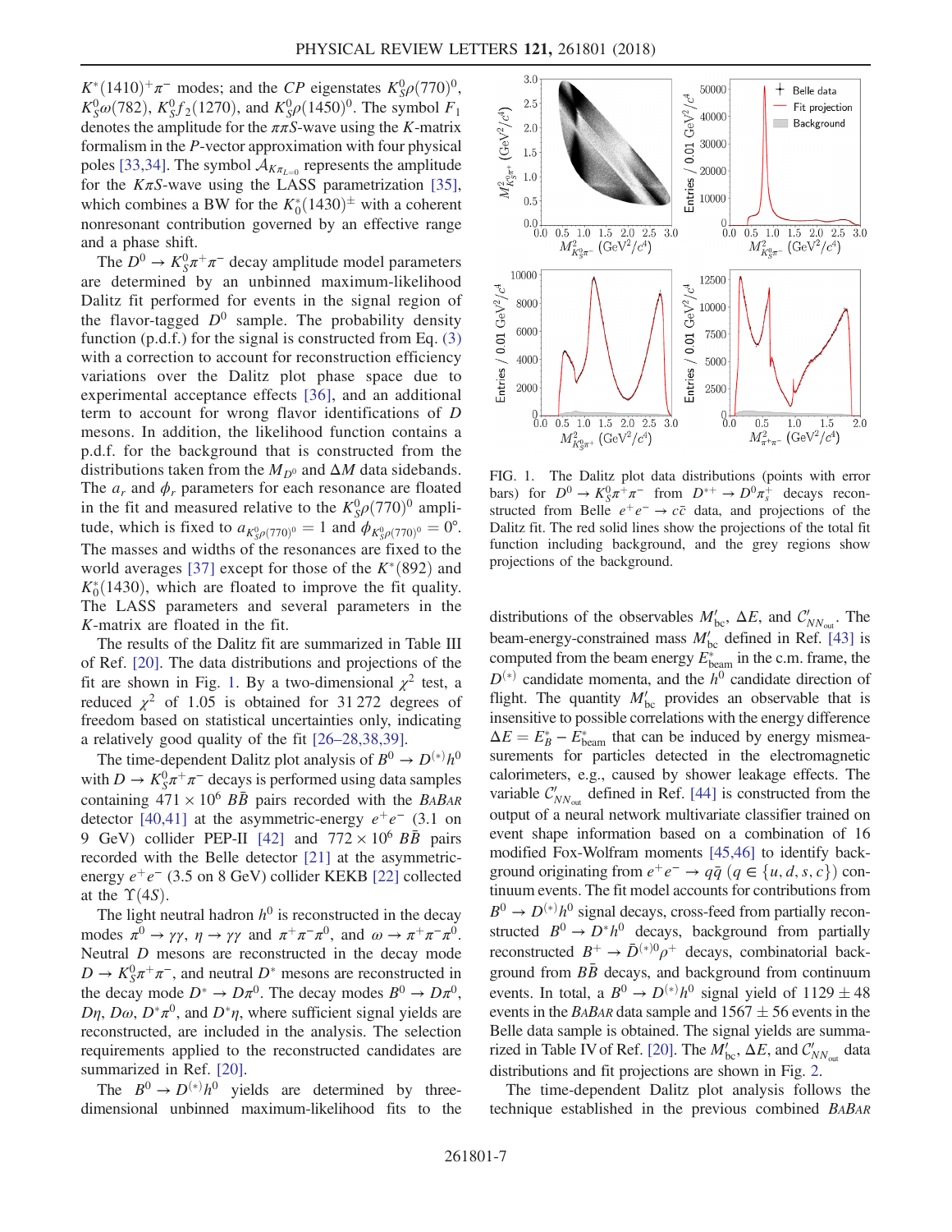$K^*(1410)^+ \pi^-$  modes; and the CP eigenstates  $K_S^0 \rho (770)^0$ ,<br> $K^0 \rho (782)$ ,  $K^0 f (1270)$ , and  $K^0 \rho (1450)^0$ . The symbol E  $K_S^0 \omega$ (782),  $K_S^0 f_2$ (1270), and  $K_S^0 \rho$ (1450)<sup>0</sup>. The symbol  $F_1$ <br>denotes the amplitude for the  $\pi \pi S$ -wave using the K-matrix denotes the amplitude for the  $\pi \pi S$ -wave using the K-matrix formalism in the P-vector approximation with four physical poles [\[33,34\].](#page-9-23) The symbol  $A_{K_{\pi_{l=0}}}$  represents the amplitude for the  $K\pi S$ -wave using the LASS parametrization [\[35\]](#page-9-24), which combines a BW for the  $K_0^*(1430)^{\pm}$  with a coherent<br>nonresonant contribution governed by an effective range nonresonant contribution governed by an effective range and a phase shift.

The  $D^0 \to K_S^0 \pi^+ \pi^-$  decay amplitude model parameters are determined by an unbinned maximum-likelihood Dalitz fit performed for events in the signal region of the flavor-tagged  $D^0$  sample. The probability density function  $(p.d.f.)$  for the signal is constructed from Eq.  $(3)$ with a correction to account for reconstruction efficiency variations over the Dalitz plot phase space due to experimental acceptance effects [\[36\]](#page-9-25), and an additional term to account for wrong flavor identifications of D mesons. In addition, the likelihood function contains a p.d.f. for the background that is constructed from the distributions taken from the  $M_{D^0}$  and  $\Delta M$  data sidebands. The  $a_r$  and  $\phi_r$  parameters for each resonance are floated in the fit and measured relative to the  $K_S^0 \rho (770)^0$  amplitude which is fixed to  $g_{\text{max}} = 1$  and  $g_{\text{max}} = \rho^0$ tude, which is fixed to  $a_{K_9^0\rho(770)^0} = 1$  and  $\phi_{K_9^0\rho(770)^0} = 0^\circ$ . The masses and widths of the resonances are fixed to the world averages [\[37\]](#page-9-26) except for those of the  $K^*(892)$  and  $K^*(1430)$  which are floated to improve the fit quality  $K_0^*(1430)$ , which are floated to improve the fit quality.<br>The LASS parameters and several parameters in the The LASS parameters and several parameters in the K-matrix are floated in the fit.

The results of the Dalitz fit are summarized in Table III of Ref. [\[20\]](#page-9-14). The data distributions and projections of the fit are shown in Fig. [1.](#page-6-0) By a two-dimensional  $\chi^2$  test, a reduced  $\chi^2$  of 1.05 is obtained for 31 272 degrees of freedom based on statistical uncertainties only, indicating a relatively good quality of the fit [26–[28,38,39\]](#page-9-19).

The time-dependent Dalitz plot analysis of  $B^0 \to D^{(*)}h^0$ with  $D \to K_S^0 \pi^+ \pi^-$  decays is performed using data samples containing  $471 \times 10^6$  BB pairs recorded with the BABAR detector [\[40,41\]](#page-9-27) at the asymmetric-energy  $e^+e^-$  (3.1 on 9 GeV) collider PEP-II [\[42\]](#page-9-28) and  $772 \times 10^6$  BB pairs recorded with the Belle detector [\[21\]](#page-9-15) at the asymmetricenergy  $e^+e^-$  (3.5 on 8 GeV) collider KEKB [\[22\]](#page-9-16) collected at the  $\Upsilon(4S)$ .

The light neutral hadron  $h^0$  is reconstructed in the decay modes  $\pi^0 \to \gamma \gamma$ ,  $\eta \to \gamma \gamma$  and  $\pi^+ \pi^- \pi^0$ , and  $\omega \to \pi^+ \pi^- \pi^0$ . Neutral D mesons are reconstructed in the decay mode  $D \to K_S^0 \pi^+ \pi^-$ , and neutral  $D^*$  mesons are reconstructed in the decay mode  $D^* \to D\pi^0$ . The decay modes  $B^0 \to D\pi^0$ ,  $D\eta$ ,  $D\omega$ ,  $D^*\pi^0$ , and  $D^*\eta$ , where sufficient signal yields are reconstructed, are included in the analysis. The selection requirements applied to the reconstructed candidates are summarized in Ref. [\[20\].](#page-9-14)

The  $B^0 \to D^{(*)}h^0$  yields are determined by threedimensional unbinned maximum-likelihood fits to the

<span id="page-6-0"></span>

FIG. 1. The Dalitz plot data distributions (points with error bars) for  $D^0 \to K_S^0 \pi^+ \pi^-$  from  $D^{*+} \to D^0 \pi^+$  decays reconstructed from Belle  $e^+e^- \rightarrow c\bar{c}$  data, and projections of the Dalitz fit. The red solid lines show the projections of the total fit function including background, and the grey regions show projections of the background.

distributions of the observables  $M'_{bc}$ ,  $\Delta E$ , and  $C'_{NN_{out}}$ . The beam-energy-constrained mass  $M'_{bc}$  defined in Ref. [\[43\]](#page-9-29) is computed from the beam energy  $E_{\text{beam}}^*$  in the c.m. frame, the  $D^{(*)}$  candidate momenta, and the  $h^0$  candidate direction of flight. The quantity  $M'_{bc}$  provides an observable that is insensitive to possible correlations with the energy difference  $\Delta E = E_B^* - \tilde{E}_{\text{beam}}^*$  that can be induced by energy mismea-<br>surements for particles detected in the electromagnetic surements for particles detected in the electromagnetic calorimeters, e.g., caused by shower leakage effects. The variable  $C'_{NN_{out}}$  defined in Ref. [\[44\]](#page-9-30) is constructed from the output of a neural network multivariate classifier trained on event shape information based on a combination of 16 modified Fox-Wolfram moments [\[45,46\]](#page-9-31) to identify background originating from  $e^+e^- \rightarrow q\bar{q}$   $(q \in \{u, d, s, c\})$  continuum events. The fit model accounts for contributions from  $B^0 \to D^{(*)}h^0$  signal decays, cross-feed from partially reconstructed  $B^0 \rightarrow D^* h^0$  decays, background from partially reconstructed  $B^+ \to \bar{D}^{(*)0} \rho^+$  decays, combinatorial background from  $B\bar{B}$  decays, and background from continuum events. In total, a  $B^0 \rightarrow D^{(*)}h^0$  signal yield of 1129  $\pm$  48<br>events in the *BABAR* data sample and 1567  $+$  56 events in the events in the BABAR data sample and  $1567 \pm 56$  events in the Belle data sample is obtained. The signal yields are summa-rized in Table IV of Ref. [\[20\]](#page-9-14). The  $M'_{bc}$ ,  $\Delta E$ , and  $C'_{NN_{out}}$  data distributions and fit projections are shown in Fig. [2.](#page-7-0)

The time-dependent Dalitz plot analysis follows the technique established in the previous combined BABAR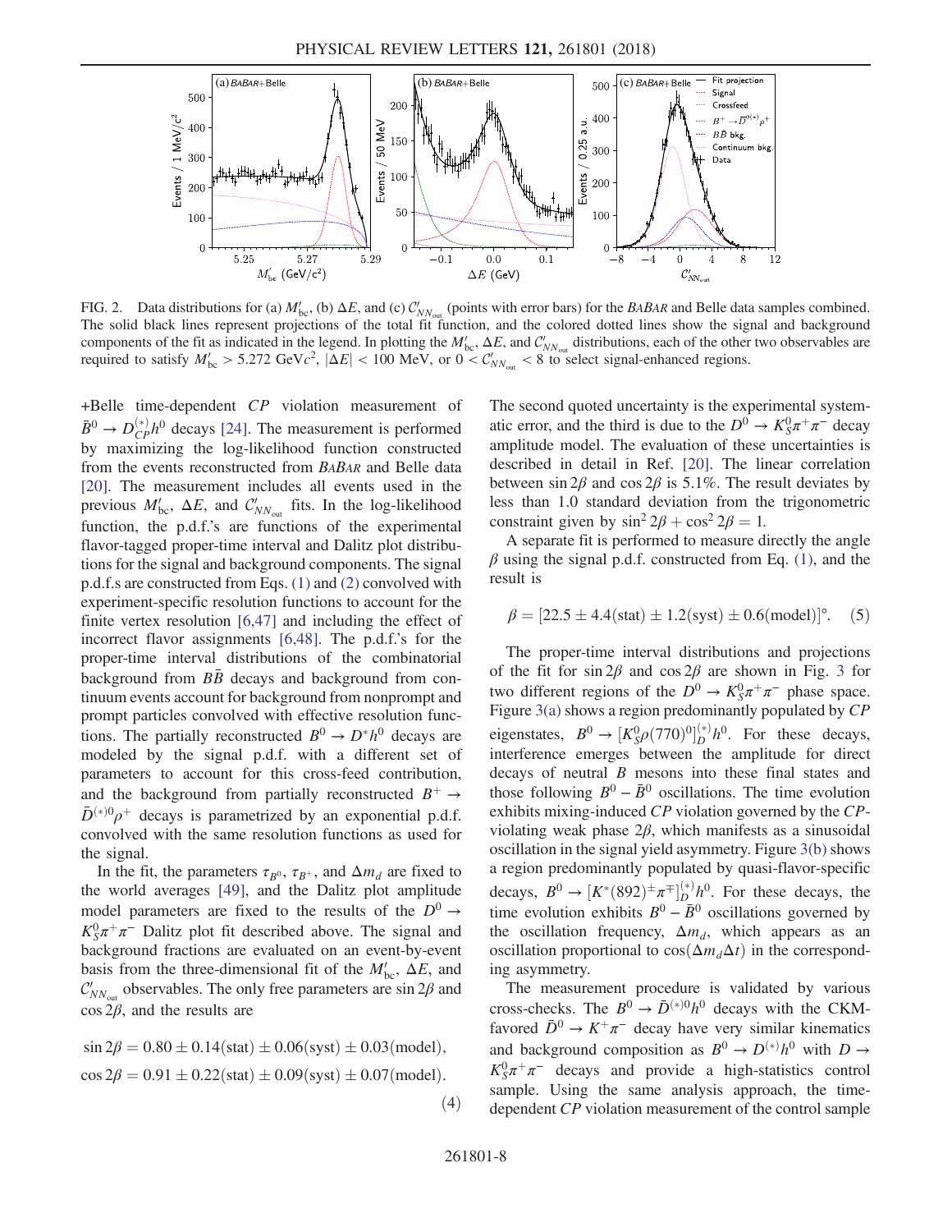<span id="page-7-0"></span>

FIG. 2. Data distributions for (a)  $M'_{bc}$ , (b)  $\Delta E$ , and (c)  $C'_{NN_{out}}$  (points with error bars) for the *BABAR* and Belle data samples combined. The solid black lines represent projections of the total fit function, and the colored dotted lines show the signal and background components of the fit as indicated in the legend. In plotting the  $M'_{bc}$ ,  $\Delta E$ , and  $C'_{NN_{out}}$  distributions, each of the other two observables are required to satisfy  $M'_{bc} > 5.272 \text{ GeV}c^2$ ,  $|\Delta E| < 100 \text{ MeV}$ , or  $0 < C'_{NN_{out}} < 8$  to select signal-enhanced regions.

+Belle time-dependent CP violation measurement of  $\bar{B}^0 \rightarrow D_{CP}^{(*)}h^0$  decays [\[24\]](#page-9-32). The measurement is performed by maximizing the log-likelihood function constructed from the events reconstructed from BABAR and Belle data [\[20\]](#page-9-14). The measurement includes all events used in the previous  $M'_{bc}$ ,  $\Delta E$ , and  $C'_{NN_{out}}$  fits. In the log-likelihood function, the p.d.f.'s are functions of the experimental flavor-tagged proper-time interval and Dalitz plot distributions for the signal and background components. The signal p.d.f.s are constructed from Eqs. [\(1\)](#page-4-0) and [\(2\)](#page-5-1) convolved with experiment-specific resolution functions to account for the finite vertex resolution [\[6,47\]](#page-9-7) and including the effect of incorrect flavor assignments [\[6,48\].](#page-9-7) The p.d.f.'s for the proper-time interval distributions of the combinatorial background from  $B\bar{B}$  decays and background from continuum events account for background from nonprompt and prompt particles convolved with effective resolution functions. The partially reconstructed  $B^0 \to D^* h^0$  decays are modeled by the signal p.d.f. with a different set of parameters to account for this cross-feed contribution, and the background from partially reconstructed  $B^+ \rightarrow$  $\bar{D}^{(*)0}\rho^+$  decays is parametrized by an exponential p.d.f. convolved with the same resolution functions as used for the signal.

In the fit, the parameters  $\tau_{B^0}$ ,  $\tau_{B^+}$ , and  $\Delta m_d$  are fixed to the world averages [\[49\],](#page-10-0) and the Dalitz plot amplitude model parameters are fixed to the results of the  $D^0 \rightarrow$  $K_S^0 \pi^+ \pi^-$  Dalitz plot fit described above. The signal and background fractions are evaluated on an event-by-event basis from the three-dimensional fit of the  $M'_{bc}$ ,  $\Delta E$ , and  $\mathcal{C}_{NN_{\text{out}}}$  observables. The only free parameters are sin 2 $\beta$  and  $\cos 2\beta$ , and the results are

 $\sin 2\beta = 0.80 \pm 0.14$ (stat)  $\pm 0.06$ (syst)  $\pm 0.03$ (model),  $\cos 2\beta = 0.91 \pm 0.22$ (stat)  $\pm 0.09$ (syst)  $\pm 0.07$ (model). The second quoted uncertainty is the experimental systematic error, and the third is due to the  $D^0 \to K_S^0 \pi^+ \pi^-$  decay amplitude model. The evaluation of these uncertainties is described in detail in Ref. [\[20\]](#page-9-14). The linear correlation between  $\sin 2\beta$  and  $\cos 2\beta$  is 5.1%. The result deviates by less than 1.0 standard deviation from the trigonometric constraint given by  $\sin^2 2\beta + \cos^2 2\beta = 1$ .

A separate fit is performed to measure directly the angle  $\beta$  using the signal p.d.f. constructed from Eq. [\(1\),](#page-4-0) and the result is

$$
\beta = [22.5 \pm 4.4 \text{(stat)} \pm 1.2 \text{(syst)} \pm 0.6 \text{(model)}]^\circ. \quad (5)
$$

The proper-time interval distributions and projections of the fit for sin  $2\beta$  and cos  $2\beta$  are shown in Fig. [3](#page-8-2) for two different regions of the  $D^0 \to K_S^0 \pi^+ \pi^-$  phase space. Figure [3\(a\)](#page-8-2) shows a region predominantly populated by CP eigenstates,  $B^0 \to [K_S^0 \rho (770)^0]_D^{(*)} h^0$ . For these decays,<br>interference emerges between the annultude for direct interference emerges between the amplitude for direct decays of neutral B mesons into these final states and those following  $B^0 - \bar{B}^0$  oscillations. The time evolution exhibits mixing-induced CP violation governed by the CPviolating weak phase 2β, which manifests as a sinusoidal oscillation in the signal yield asymmetry. Figure [3\(b\)](#page-8-2) shows a region predominantly populated by quasi-flavor-specific decays,  $B^0 \to [K^*(892)^{\pm} \pi^{\mp}]^{(*)}_{D} h^0$ . For these decays, the time evolution exhibits  $B^0 - \bar{B}^0$  oscillations governed by time evolution exhibits  $B^0 - \bar{B}^0$  oscillations governed by the oscillation frequency,  $\Delta m_d$ , which appears as an oscillation proportional to  $cos(\Delta m_d\Delta t)$  in the corresponding asymmetry.

The measurement procedure is validated by various cross-checks. The  $B^0 \to \bar{D}^{(*)0} h^0$  decays with the CKMfavored  $\bar{D}^0 \to K^+\pi^-$  decay have very similar kinematics and background composition as  $B^0 \to D^{(*)}h^0$  with  $D \to$  $K_S^0 \pi^+ \pi^-$  decays and provide a high-statistics control sample. Using the same analysis approach, the timedependent CP violation measurement of the control sample

 $(4)$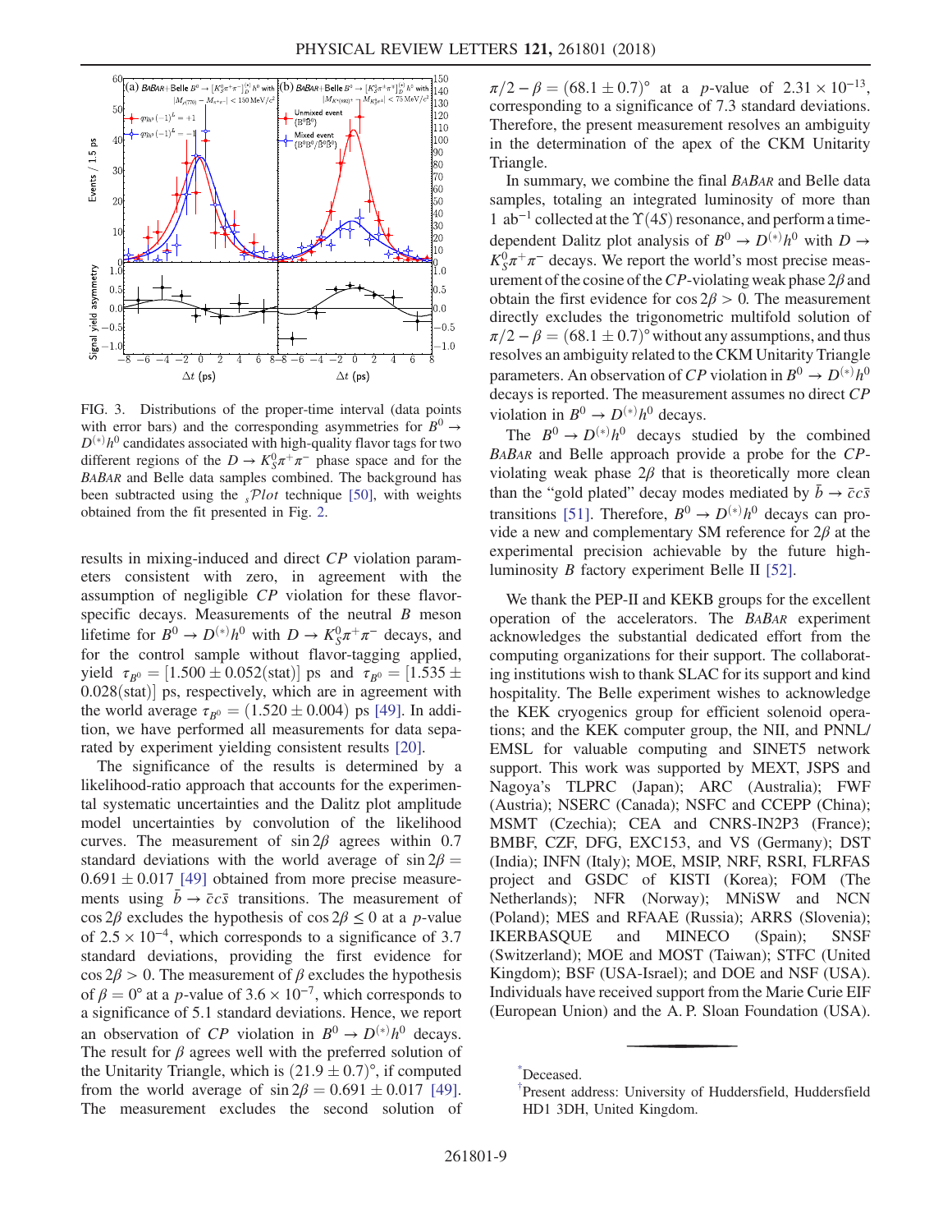<span id="page-8-2"></span>

FIG. 3. Distributions of the proper-time interval (data points with error bars) and the corresponding asymmetries for  $B^0 \rightarrow$  $D^{(*)}h^0$  candidates associated with high-quality flavor tags for two different regions of the  $D \to K_S^0 \pi^+ \pi^-$  phase space and for the BABAR and Belle data samples combined. The background has been subtracted using the  $sPlot$  technique [\[50\]](#page-10-3), with weights obtained from the fit presented in Fig. [2.](#page-7-0)

results in mixing-induced and direct CP violation parameters consistent with zero, in agreement with the assumption of negligible CP violation for these flavorspecific decays. Measurements of the neutral  $B$  meson lifetime for  $B^0 \to D^{(*)}h^0$  with  $D \to K_S^0 \pi^+ \pi^-$  decays, and for the control sample without flavor-tagging applied, yield  $\tau_{B^0} = [1.500 \pm 0.052(stat)]$  ps and  $\tau_{B^0} = [1.535 \pm 0.052(st)]$  $0.028(stat)$ ] ps, respectively, which are in agreement with the world average  $\tau_{B^0} = (1.520 \pm 0.004)$  ps [\[49\]](#page-10-0). In addition, we have performed all measurements for data separated by experiment yielding consistent results [\[20\]](#page-9-14).

The significance of the results is determined by a likelihood-ratio approach that accounts for the experimental systematic uncertainties and the Dalitz plot amplitude model uncertainties by convolution of the likelihood curves. The measurement of  $\sin 2\beta$  agrees within 0.7 standard deviations with the world average of sin  $2\beta =$  $0.691 \pm 0.017$  [\[49\]](#page-10-0) obtained from more precise measurements using  $b \rightarrow \bar{c} c \bar{s}$  transitions. The measurement of cos 2β excludes the hypothesis of cos  $2\beta \le 0$  at a p-value of  $2.5 \times 10^{-4}$ , which corresponds to a significance of 3.7 standard deviations, providing the first evidence for  $\cos 2\beta > 0$ . The measurement of  $\beta$  excludes the hypothesis of  $\beta = 0^\circ$  at a *p*-value of 3.6 × 10<sup>-7</sup>, which corresponds to a significance of 5.1 standard deviations. Hence, we report an observation of CP violation in  $B^0 \to D^{(*)}h^0$  decays. The result for  $\beta$  agrees well with the preferred solution of the Unitarity Triangle, which is  $(21.9 \pm 0.7)$ °, if computed from the world average of  $\sin 2\beta = 0.691 \pm 0.017$  [\[49\]](#page-10-0). The measurement excludes the second solution of  $\pi/2 - \beta = (68.1 \pm 0.7)$ ° at a p-value of  $2.31 \times 10^{-13}$ , corresponding to a significance of 7.3 standard deviations. Therefore, the present measurement resolves an ambiguity in the determination of the apex of the CKM Unitarity Triangle.

In summary, we combine the final BABAR and Belle data samples, totaling an integrated luminosity of more than 1 ab<sup>-1</sup> collected at the  $\Upsilon(4S)$  resonance, and perform a timedependent Dalitz plot analysis of  $B^0 \to D^{(*)}h^0$  with  $D \to$  $K_S^0 \pi^+ \pi^-$  decays. We report the world's most precise measurement of the cosine of the CP-violating weak phase  $2\beta$  and obtain the first evidence for cos  $2\beta > 0$ . The measurement directly excludes the trigonometric multifold solution of  $\pi/2 - \beta = (68.1 \pm 0.7)$ ° without any assumptions, and thus resolves an ambiguity related to the CKM Unitarity Triangle parameters. An observation of CP violation in  $B^0 \to D^{(*)}h^0$ decays is reported. The measurement assumes no direct CP violation in  $B^0 \to D^{(*)}h^0$  decays.

The  $B^0 \to D^{(*)}h^0$  decays studied by the combined BABAR and Belle approach provide a probe for the CPviolating weak phase  $2\beta$  that is theoretically more clean than the "gold plated" decay modes mediated by  $\bar{b} \rightarrow \bar{c}c\bar{s}$ transitions [\[51\].](#page-10-1) Therefore,  $B^0 \to D^{(*)}h^0$  decays can provide a new and complementary SM reference for  $2\beta$  at the experimental precision achievable by the future highluminosity B factory experiment Belle II [\[52\].](#page-10-2)

We thank the PEP-II and KEKB groups for the excellent operation of the accelerators. The BABAR experiment acknowledges the substantial dedicated effort from the computing organizations for their support. The collaborating institutions wish to thank SLAC for its support and kind hospitality. The Belle experiment wishes to acknowledge the KEK cryogenics group for efficient solenoid operations; and the KEK computer group, the NII, and PNNL/ EMSL for valuable computing and SINET5 network support. This work was supported by MEXT, JSPS and Nagoya's TLPRC (Japan); ARC (Australia); FWF (Austria); NSERC (Canada); NSFC and CCEPP (China); MSMT (Czechia); CEA and CNRS-IN2P3 (France); BMBF, CZF, DFG, EXC153, and VS (Germany); DST (India); INFN (Italy); MOE, MSIP, NRF, RSRI, FLRFAS project and GSDC of KISTI (Korea); FOM (The Netherlands); NFR (Norway); MNiSW and NCN (Poland); MES and RFAAE (Russia); ARRS (Slovenia); IKERBASQUE and MINECO (Spain); SNSF (Switzerland); MOE and MOST (Taiwan); STFC (United Kingdom); BSF (USA-Israel); and DOE and NSF (USA). Individuals have received support from the Marie Curie EIF (European Union) and the A. P. Sloan Foundation (USA).

<span id="page-8-1"></span><span id="page-8-0"></span>[<sup>\\*</sup>](#page-0-0) Deceased.

[<sup>†</sup>](#page-0-1) Present address: University of Huddersfield, Huddersfield HD1 3DH, United Kingdom.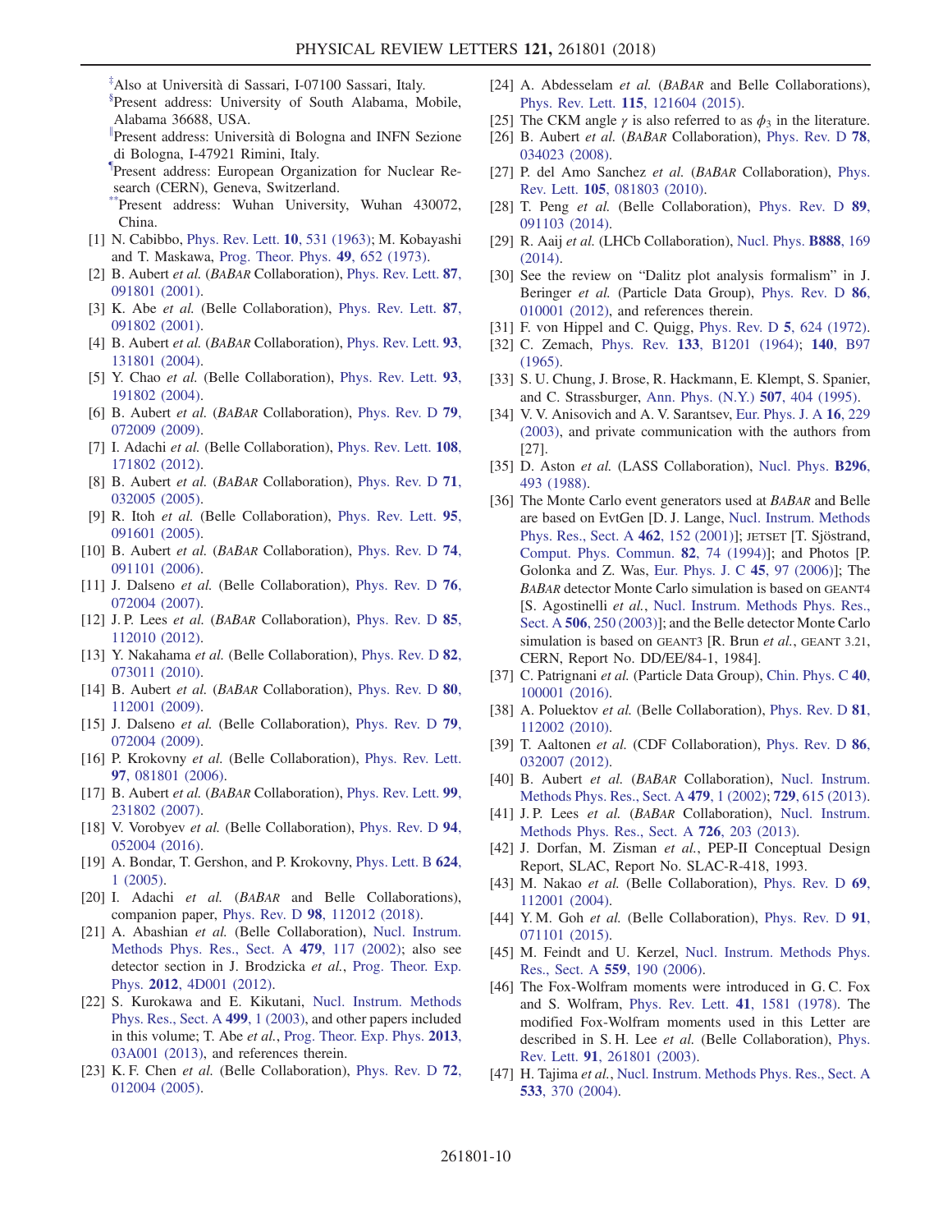<span id="page-9-0"></span> $*$ Also at Università di Sassari, I-07100 Sassari, Italy.

<span id="page-9-1"></span>[§](#page-0-3) Present address: University of South Alabama, Mobile, Alabama 36688, USA.

<span id="page-9-2"></span>[∥](#page-0-4) Present address: Universit`a di Bologna and INFN Sezione di Bologna, I-47921 Rimini, Italy.

- <span id="page-9-3"></span>[¶](#page-0-5) Present address: European Organization for Nuclear Research (CERN), Geneva, Switzerland.
- <span id="page-9-4"></span>Present address: Wuhan University, Wuhan 430072, China.
- <span id="page-9-5"></span>[1] N. Cabibbo, [Phys. Rev. Lett.](https://doi.org/10.1103/PhysRevLett.10.531) **10**, 531 (1963); M. Kobayashi and T. Maskawa, [Prog. Theor. Phys.](https://doi.org/10.1143/PTP.49.652) 49, 652 (1973).
- <span id="page-9-6"></span>[2] B. Aubert et al. (BABAR Collaboration), [Phys. Rev. Lett.](https://doi.org/10.1103/PhysRevLett.87.091801) 87, [091801 \(2001\).](https://doi.org/10.1103/PhysRevLett.87.091801)
- [3] K. Abe et al. (Belle Collaboration), [Phys. Rev. Lett.](https://doi.org/10.1103/PhysRevLett.87.091802) 87, [091802 \(2001\).](https://doi.org/10.1103/PhysRevLett.87.091802)
- [4] B. Aubert et al. (BABAR Collaboration), [Phys. Rev. Lett.](https://doi.org/10.1103/PhysRevLett.93.131801) 93, [131801 \(2004\).](https://doi.org/10.1103/PhysRevLett.93.131801)
- [5] Y. Chao et al. (Belle Collaboration), [Phys. Rev. Lett.](https://doi.org/10.1103/PhysRevLett.93.191802) 93, [191802 \(2004\).](https://doi.org/10.1103/PhysRevLett.93.191802)
- <span id="page-9-7"></span>[6] B. Aubert *et al.* (*BABAR* Collaboration), *[Phys. Rev. D](https://doi.org/10.1103/PhysRevD.79.072009)* 79, [072009 \(2009\).](https://doi.org/10.1103/PhysRevD.79.072009)
- [7] I. Adachi et al. (Belle Collaboration), [Phys. Rev. Lett.](https://doi.org/10.1103/PhysRevLett.108.171802) 108, [171802 \(2012\).](https://doi.org/10.1103/PhysRevLett.108.171802)
- <span id="page-9-8"></span>[8] B. Aubert et al. (BABAR Collaboration), [Phys. Rev. D](https://doi.org/10.1103/PhysRevD.71.032005) 71, [032005 \(2005\).](https://doi.org/10.1103/PhysRevD.71.032005)
- [9] R. Itoh et al. (Belle Collaboration), [Phys. Rev. Lett.](https://doi.org/10.1103/PhysRevLett.95.091601) 95, [091601 \(2005\).](https://doi.org/10.1103/PhysRevLett.95.091601)
- <span id="page-9-9"></span>[10] B. Aubert et al. (BABAR Collaboration), [Phys. Rev. D](https://doi.org/10.1103/PhysRevD.74.091101) 74, [091101 \(2006\).](https://doi.org/10.1103/PhysRevD.74.091101)
- [11] J. Dalseno *et al.* (Belle Collaboration), [Phys. Rev. D](https://doi.org/10.1103/PhysRevD.76.072004) 76, [072004 \(2007\).](https://doi.org/10.1103/PhysRevD.76.072004)
- <span id="page-9-10"></span>[12] J.P. Lees *et al.* (*BABAR* Collaboration), *[Phys. Rev. D](https://doi.org/10.1103/PhysRevD.85.112010)* **85**, [112010 \(2012\).](https://doi.org/10.1103/PhysRevD.85.112010)
- [13] Y. Nakahama et al. (Belle Collaboration), [Phys. Rev. D](https://doi.org/10.1103/PhysRevD.82.073011) 82, [073011 \(2010\).](https://doi.org/10.1103/PhysRevD.82.073011)
- <span id="page-9-11"></span>[14] B. Aubert et al. (BABAR Collaboration), [Phys. Rev. D](https://doi.org/10.1103/PhysRevD.80.112001) 80, [112001 \(2009\).](https://doi.org/10.1103/PhysRevD.80.112001)
- [15] J. Dalseno et al. (Belle Collaboration), [Phys. Rev. D](https://doi.org/10.1103/PhysRevD.79.072004) 79, [072004 \(2009\).](https://doi.org/10.1103/PhysRevD.79.072004)
- <span id="page-9-12"></span>[16] P. Krokovny et al. (Belle Collaboration), [Phys. Rev. Lett.](https://doi.org/10.1103/PhysRevLett.97.081801) 97[, 081801 \(2006\).](https://doi.org/10.1103/PhysRevLett.97.081801)
- [17] B. Aubert et al. (BABAR Collaboration), [Phys. Rev. Lett.](https://doi.org/10.1103/PhysRevLett.99.231802) 99, [231802 \(2007\).](https://doi.org/10.1103/PhysRevLett.99.231802)
- [18] V. Vorobyev et al. (Belle Collaboration), [Phys. Rev. D](https://doi.org/10.1103/PhysRevD.94.052004) 94, [052004 \(2016\).](https://doi.org/10.1103/PhysRevD.94.052004)
- <span id="page-9-13"></span>[19] A. Bondar, T. Gershon, and P. Krokovny, [Phys. Lett. B](https://doi.org/10.1016/j.physletb.2005.07.053) 624, [1 \(2005\).](https://doi.org/10.1016/j.physletb.2005.07.053)
- <span id="page-9-14"></span>[20] I. Adachi et al. (BABAR and Belle Collaborations), companion paper, Phys. Rev. D 98[, 112012 \(2018\)](https://doi.org/10.1103/PhysRevD.98.112012).
- <span id="page-9-15"></span>[21] A. Abashian et al. (Belle Collaboration), [Nucl. Instrum.](https://doi.org/10.1016/S0168-9002(01)02013-7) [Methods Phys. Res., Sect. A](https://doi.org/10.1016/S0168-9002(01)02013-7) 479, 117 (2002); also see detector section in J. Brodzicka et al., [Prog. Theor. Exp.](https://doi.org/10.1093/ptep/pts072) Phys. 2012[, 4D001 \(2012\).](https://doi.org/10.1093/ptep/pts072)
- <span id="page-9-16"></span>[22] S. Kurokawa and E. Kikutani, [Nucl. Instrum. Methods](https://doi.org/10.1016/S0168-9002(02)01771-0) [Phys. Res., Sect. A](https://doi.org/10.1016/S0168-9002(02)01771-0) 499, 1 (2003), and other papers included in this volume; T. Abe et al., [Prog. Theor. Exp. Phys.](https://doi.org/10.1093/ptep/pts102) 2013, [03A001 \(2013\),](https://doi.org/10.1093/ptep/pts102) and references therein.
- <span id="page-9-17"></span>[23] K. F. Chen et al. (Belle Collaboration), [Phys. Rev. D](https://doi.org/10.1103/PhysRevD.72.012004) 72, [012004 \(2005\).](https://doi.org/10.1103/PhysRevD.72.012004)
- <span id="page-9-32"></span>[24] A. Abdesselam et al. (BABAR and Belle Collaborations), Phys. Rev. Lett. 115[, 121604 \(2015\).](https://doi.org/10.1103/PhysRevLett.115.121604)
- <span id="page-9-18"></span>[25] The CKM angle  $\gamma$  is also referred to as  $\phi_3$  in the literature.
- <span id="page-9-19"></span>[26] B. Aubert et al. (BABAR Collaboration), [Phys. Rev. D](https://doi.org/10.1103/PhysRevD.78.034023) 78, [034023 \(2008\).](https://doi.org/10.1103/PhysRevD.78.034023)
- [27] P. del Amo Sanchez et al. (BABAR Collaboration), [Phys.](https://doi.org/10.1103/PhysRevLett.105.081803) Rev. Lett. 105[, 081803 \(2010\).](https://doi.org/10.1103/PhysRevLett.105.081803)
- [28] T. Peng et al. (Belle Collaboration), [Phys. Rev. D](https://doi.org/10.1103/PhysRevD.89.091103) 89, [091103 \(2014\).](https://doi.org/10.1103/PhysRevD.89.091103)
- [29] R. Aaij et al. (LHCb Collaboration), [Nucl. Phys.](https://doi.org/10.1016/j.nuclphysb.2014.09.015) **B888**, 169 [\(2014\).](https://doi.org/10.1016/j.nuclphysb.2014.09.015)
- <span id="page-9-20"></span>[30] See the review on "Dalitz plot analysis formalism" in J. Beringer *et al.* (Particle Data Group), [Phys. Rev. D](https://doi.org/10.1103/PhysRevD.86.010001) 86, [010001 \(2012\),](https://doi.org/10.1103/PhysRevD.86.010001) and references therein.
- <span id="page-9-22"></span><span id="page-9-21"></span>[31] F. von Hippel and C. Quigg, [Phys. Rev. D](https://doi.org/10.1103/PhysRevD.5.624) **5**, 624 (1972).
- [32] C. Zemach, Phys. Rev. 133[, B1201 \(1964\);](https://doi.org/10.1103/PhysRev.133.B1201) 140[, B97](https://doi.org/10.1103/PhysRev.140.B97) [\(1965\).](https://doi.org/10.1103/PhysRev.140.B97)
- <span id="page-9-23"></span>[33] S. U. Chung, J. Brose, R. Hackmann, E. Klempt, S. Spanier, and C. Strassburger, [Ann. Phys. \(N.Y.\)](https://doi.org/10.1002/andp.19955070504) 507, 404 (1995).
- [34] V. V. Anisovich and A. V. Sarantsev, [Eur. Phys. J. A](https://doi.org/10.1140/epja/i2002-10068-x) 16, 229 [\(2003\),](https://doi.org/10.1140/epja/i2002-10068-x) and private communication with the authors from [27].
- <span id="page-9-24"></span>[35] D. Aston *et al.* (LASS Collaboration), [Nucl. Phys.](https://doi.org/10.1016/0550-3213(88)90028-4) **B296**, [493 \(1988\)](https://doi.org/10.1016/0550-3213(88)90028-4).
- <span id="page-9-25"></span>[36] The Monte Carlo event generators used at BABAR and Belle are based on EvtGen [D. J. Lange, [Nucl. Instrum. Methods](https://doi.org/10.1016/S0168-9002(01)00089-4) [Phys. Res., Sect. A](https://doi.org/10.1016/S0168-9002(01)00089-4) 462, 152 (2001)]; JETSET [T. Sjöstrand, [Comput. Phys. Commun.](https://doi.org/10.1016/0010-4655(94)90132-5) 82, 74 (1994)]; and Photos [P. Golonka and Z. Was, [Eur. Phys. J. C](https://doi.org/10.1140/epjc/s2005-02396-4) 45, 97 (2006)]; The BABAR detector Monte Carlo simulation is based on GEANT4 [S. Agostinelli et al., [Nucl. Instrum. Methods Phys. Res.,](https://doi.org/10.1016/S0168-9002(03)01368-8) Sect. A 506[, 250 \(2003\)](https://doi.org/10.1016/S0168-9002(03)01368-8)]; and the Belle detector Monte Carlo simulation is based on GEANT3 [R. Brun et al., GEANT 3.21, CERN, Report No. DD/EE/84-1, 1984].
- <span id="page-9-26"></span>[37] C. Patrignani et al. (Particle Data Group), [Chin. Phys. C](https://doi.org/10.1088/1674-1137/40/10/100001) 40, [100001 \(2016\).](https://doi.org/10.1088/1674-1137/40/10/100001)
- [38] A. Poluektov et al. (Belle Collaboration), [Phys. Rev. D](https://doi.org/10.1103/PhysRevD.81.112002) 81, [112002 \(2010\).](https://doi.org/10.1103/PhysRevD.81.112002)
- [39] T. Aaltonen et al. (CDF Collaboration), [Phys. Rev. D](https://doi.org/10.1103/PhysRevD.86.032007) 86, [032007 \(2012\).](https://doi.org/10.1103/PhysRevD.86.032007)
- <span id="page-9-27"></span>[40] B. Aubert et al. (BABAR Collaboration), [Nucl. Instrum.](https://doi.org/10.1016/S0168-9002(01)02012-5) [Methods Phys. Res., Sect. A](https://doi.org/10.1016/S0168-9002(01)02012-5) 479, 1 (2002); 729[, 615 \(2013\).](https://doi.org/10.1016/j.nima.2013.05.107)
- [41] J. P. Lees et al. (BABAR Collaboration), [Nucl. Instrum.](https://doi.org/10.1016/j.nima.2013.04.029) [Methods Phys. Res., Sect. A](https://doi.org/10.1016/j.nima.2013.04.029) 726, 203 (2013).
- <span id="page-9-28"></span>[42] J. Dorfan, M. Zisman et al., PEP-II Conceptual Design Report, SLAC, Report No. SLAC-R-418, 1993.
- <span id="page-9-30"></span><span id="page-9-29"></span>[43] M. Nakao *et al.* (Belle Collaboration), [Phys. Rev. D](https://doi.org/10.1103/PhysRevD.69.112001) 69, [112001 \(2004\).](https://doi.org/10.1103/PhysRevD.69.112001)
- <span id="page-9-31"></span>[44] Y.M. Goh et al. (Belle Collaboration), [Phys. Rev. D](https://doi.org/10.1103/PhysRevD.91.071101) 91, [071101 \(2015\).](https://doi.org/10.1103/PhysRevD.91.071101)
- [45] M. Feindt and U. Kerzel, [Nucl. Instrum. Methods Phys.](https://doi.org/10.1016/j.nima.2005.11.166) [Res., Sect. A](https://doi.org/10.1016/j.nima.2005.11.166) 559, 190 (2006).
- [46] The Fox-Wolfram moments were introduced in G. C. Fox and S. Wolfram, [Phys. Rev. Lett.](https://doi.org/10.1103/PhysRevLett.41.1581) 41, 1581 (1978). The modified Fox-Wolfram moments used in this Letter are described in S. H. Lee et al. (Belle Collaboration), [Phys.](https://doi.org/10.1103/PhysRevLett.91.261801) Rev. Lett. 91[, 261801 \(2003\).](https://doi.org/10.1103/PhysRevLett.91.261801)
- [47] H. Tajima et al., [Nucl. Instrum. Methods Phys. Res., Sect. A](https://doi.org/10.1016/j.nima.2004.07.199) 533[, 370 \(2004\)](https://doi.org/10.1016/j.nima.2004.07.199).